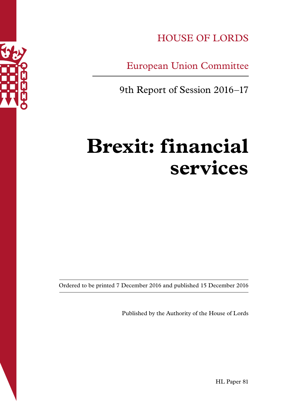

HOUSE OF LORDS

European Union Committee

9th Report of Session 2016–17

# **Brexit: financial services**

Ordered to be printed 7 December 2016 and published 15 December 2016

Published by the Authority of the House of Lords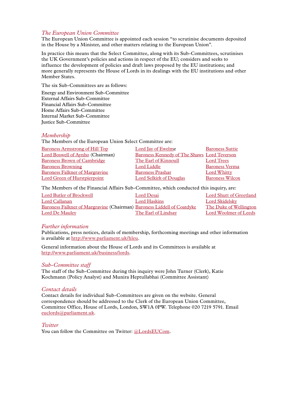#### *The European Union Committee*

The European Union Committee is appointed each session "to scrutinise documents deposited in the House by a Minister, and other matters relating to the European Union".

In practice this means that the Select Committee, along with its Sub-Committees, scrutinises the UK Government's policies and actions in respect of the EU; considers and seeks to influence the development of policies and draft laws proposed by the EU institutions; and more generally represents the House of Lords in its dealings with the EU institutions and other Member States.

The six Sub-Committees are as follows:

Energy and Environment Sub-Committee External Affairs Sub-Committee Financial Affairs Sub-Committee Home Affairs Sub-Committee Internal Market Sub-Committee Justice Sub-Committee

#### *Membership*

The Members of the European Union Select Committee are:

| <b>Baroness Armstrong of Hill Top</b> | Lord Jay of Ewelme                                 | <b>Baroness Suttie</b> |
|---------------------------------------|----------------------------------------------------|------------------------|
| Lord Boswell of Aynho (Chairman)      | <b>Baroness Kennedy of The Shaws Lord Teverson</b> |                        |
| <b>Baroness Brown of Cambridge</b>    | The Earl of Kinnoull                               | Lord Trees             |
| <b>Baroness Browning</b>              | Lord Liddle                                        | <b>Baroness Verma</b>  |
| <b>Baroness Falkner of Margravine</b> | <b>Baroness Prashar</b>                            | <b>Lord Whitty</b>     |
| <b>Lord Green of Hurstpierpoint</b>   | <b>Lord Selkirk of Douglas</b>                     | <b>Baroness Wilcox</b> |

The Members of the Financial Affairs Sub-Committee, which conducted this inquiry, are:

| Lord Butler of Brockwell                                               | Lord Desai          | Lord Shutt of Greetland |
|------------------------------------------------------------------------|---------------------|-------------------------|
| Lord Callanan                                                          | Lord Haskins        | Lord Skidelsky          |
| Baroness Falkner of Margravine (Chairman) Baroness Liddell of Coatdyke |                     | The Duke of Wellington  |
| Lord De Mauley                                                         | The Earl of Lindsay | Lord Woolmer of Leeds   |

#### *Further information*

Publications, press notices, details of membership, forthcoming meetings and other information is available at<http://www.parliament.uk/hleu>.

General information about the House of Lords and its Committees is available at [http://www.parliament.uk/business/lords](http://www.parliament.uk/business/lords/).

#### *Sub-Committee staff*

The staff of the Sub-Committee during this inquiry were John Turner (Clerk), Katie Kochmann (Policy Analyst) and Munira Heptullabhai (Committee Assistant)

#### *Contact details*

Contact details for individual Sub-Committees are given on the website. General correspondence should be addressed to the Clerk of the European Union Committee, Committee Office, House of Lords, London, SW1A 0PW. Telephone 020 7219 5791. Email [euclords@parliament.uk](mailto:euclords@parliament.uk).

#### *Twitter*

You can follow the Committee on Twitter: [@LordsEUCom](http://www.twitter.com/lordseucom).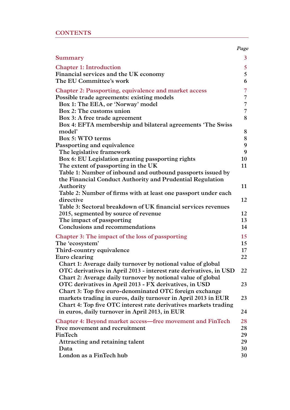|  |  | <b>CONTENTS</b> |
|--|--|-----------------|
|  |  |                 |

|                                                                                                                   | Page   |
|-------------------------------------------------------------------------------------------------------------------|--------|
| Summary                                                                                                           | 3      |
| <b>Chapter 1: Introduction</b>                                                                                    | 5      |
| Financial services and the UK economy                                                                             | 5      |
| The EU Committee's work                                                                                           | 6      |
| <b>Chapter 2: Passporting, equivalence and market access</b>                                                      | 7      |
| Possible trade agreements: existing models                                                                        | 7      |
| Box 1: The EEA, or 'Norway' model                                                                                 | 7      |
| Box 2: The customs union                                                                                          | 7      |
| Box 3: A free trade agreement                                                                                     | 8      |
| Box 4: EFTA membership and bilateral agreements 'The Swiss                                                        |        |
| model'<br>Box 5: WTO terms                                                                                        | 8      |
| Passporting and equivalence                                                                                       | 8<br>9 |
| The legislative framework                                                                                         | 9      |
| Box 6: EU Legislation granting passporting rights                                                                 | 10     |
| The extent of passporting in the UK                                                                               | 11     |
| Table 1: Number of inbound and outbound passports issued by                                                       |        |
| the Financial Conduct Authority and Prudential Regulation                                                         |        |
| Authority                                                                                                         | 11     |
| Table 2: Number of firms with at least one passport under each                                                    |        |
| directive                                                                                                         | 12     |
| Table 3: Sectoral breakdown of UK financial services revenues                                                     |        |
| 2015, segmented by source of revenue                                                                              | 12     |
| The impact of passporting                                                                                         | 13     |
| Conclusions and recommendations                                                                                   | 14     |
| Chapter 3: The impact of the loss of passporting                                                                  | 15     |
| The 'ecosystem'                                                                                                   | 15     |
| Third-country equivalence                                                                                         | 17     |
| Euro clearing                                                                                                     | 22     |
| Chart 1: Average daily turnover by notional value of global                                                       |        |
| OTC derivatives in April 2013 - interest rate derivatives, in USD                                                 | 22     |
| Chart 2: Average daily turnover by notional value of global                                                       | 23     |
| OTC derivatives in April 2013 - FX derivatives, in USD<br>Chart 3: Top five euro-denominated OTC foreign exchange |        |
| markets trading in euros, daily turnover in April 2013 in EUR                                                     | 23     |
| Chart 4: Top five OTC interest rate derivatives markets trading                                                   |        |
| in euros, daily turnover in April 2013, in EUR                                                                    | 24     |
| <b>Chapter 4: Beyond market access—free movement and FinTech</b>                                                  | 28     |
| Free movement and recruitment                                                                                     | 28     |
| FinTech                                                                                                           | 29     |
| Attracting and retaining talent                                                                                   | 29     |
| Data                                                                                                              | 30     |
| London as a FinTech hub                                                                                           | 30     |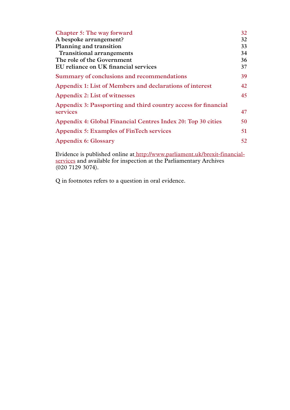| <b>Chapter 5: The way forward</b>                              | 32  |
|----------------------------------------------------------------|-----|
| A bespoke arrangement?                                         | 32  |
| Planning and transition                                        | 33  |
| <b>Transitional arrangements</b>                               | 34  |
| The role of the Government                                     | 36  |
| EU reliance on UK financial services                           | 37  |
| Summary of conclusions and recommendations                     | 39. |
| Appendix 1: List of Members and declarations of interest       | 42  |
| Appendix 2: List of witnesses                                  | 45  |
| Appendix 3: Passporting and third country access for financial |     |
| services                                                       | 47  |
| Appendix 4: Global Financial Centres Index 20: Top 30 cities   | 50  |
| Appendix 5: Examples of FinTech services                       | 51  |
| Appendix 6: Glossary                                           | 52  |

Evidence is published online a[t http://www.parliament.uk/brexit-financial]( http://www.parliament.uk/brexit-financial-services)[services]( http://www.parliament.uk/brexit-financial-services) and available for inspection at the Parliamentary Archives (020 7129 3074).

Q in footnotes refers to a question in oral evidence.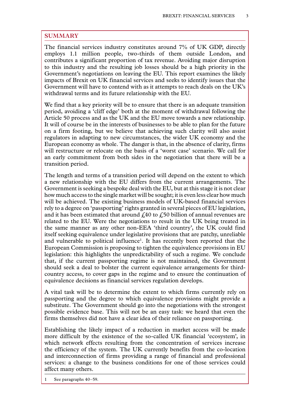#### <span id="page-4-0"></span>**SUMMARY**

The financial services industry constitutes around 7% of UK GDP, directly employs 1.1 million people, two-thirds of them outside London, and contributes a significant proportion of tax revenue. Avoiding major disruption to this industry and the resulting job losses should be a high priority in the Government's negotiations on leaving the EU. This report examines the likely impacts of Brexit on UK financial services and seeks to identify issues that the Government will have to contend with as it attempts to reach deals on the UK's withdrawal terms and its future relationship with the EU.

We find that a key priority will be to ensure that there is an adequate transition period, avoiding a 'cliff edge' both at the moment of withdrawal following the Article 50 process and as the UK and the EU move towards a new relationship. It will of course be in the interests of businesses to be able to plan for the future on a firm footing, but we believe that achieving such clarity will also assist regulators in adapting to new circumstances, the wider UK economy and the European economy as whole. The danger is that, in the absence of clarity, firms will restructure or relocate on the basis of a 'worst case' scenario. We call for an early commitment from both sides in the negotiation that there will be a transition period.

The length and terms of a transition period will depend on the extent to which a new relationship with the EU differs from the current arrangements. The Government is seeking a bespoke deal with the EU, but at this stage it is not clear how much access to the single market will be sought; it is even less clear how much will be achieved. The existing business models of UK-based financial services rely to a degree on 'passporting' rights granted in several pieces of EU legislation, and it has been estimated that around  $\dot{x}$  at the  $\dot{x}$  so billion of annual revenues are related to the EU. Were the negotiations to result in the UK being treated in the same manner as any other non-EEA 'third country', the UK could find itself seeking equivalence under legislative provisions that are patchy, unreliable and vulnerable to political influence<sup>1</sup>. It has recently been reported that the European Commission is proposing to tighten the equivalence provisions in EU legislation: this highlights the unpredictability of such a regime. We conclude that, if the current passporting regime is not maintained, the Government should seek a deal to bolster the current equivalence arrangements for thirdcountry access, to cover gaps in the regime and to ensure the continuation of equivalence decisions as financial services regulation develops.

A vital task will be to determine the extent to which firms currently rely on passporting and the degree to which equivalence provisions might provide a substitute. The Government should go into the negotiations with the strongest possible evidence base. This will not be an easy task: we heard that even the firms themselves did not have a clear idea of their reliance on passporting.

Establishing the likely impact of a reduction in market access will be made more difficult by the existence of the so-called UK financial 'ecosystem', in which network effects resulting from the concentration of services increase the efficiency of the system. The UK currently benefits from the co-location and interconnection of firms providing a range of financial and professional services: a change to the business conditions for one of those services could affect many others.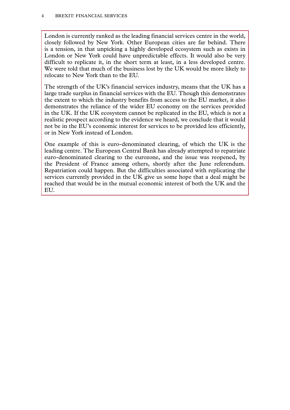London is currently ranked as the leading financial services centre in the world, closely followed by New York. Other European cities are far behind. There is a tension, in that unpicking a highly developed ecosystem such as exists in London or New York could have unpredictable effects. It would also be very difficult to replicate it, in the short term at least, in a less developed centre. We were told that much of the business lost by the UK would be more likely to relocate to New York than to the EU.

The strength of the UK's financial services industry, means that the UK has a large trade surplus in financial services with the EU. Though this demonstrates the extent to which the industry benefits from access to the EU market, it also demonstrates the reliance of the wider EU economy on the services provided in the UK. If the UK ecosystem cannot be replicated in the EU, which is not a realistic prospect according to the evidence we heard, we conclude that it would not be in the EU's economic interest for services to be provided less efficiently, or in New York instead of London.

One example of this is euro-denominated clearing, of which the UK is the leading centre. The European Central Bank has already attempted to repatriate euro-denominated clearing to the eurozone, and the issue was reopened, by the President of France among others, shortly after the June referendum. Repatriation could happen. But the difficulties associated with replicating the services currently provided in the UK give us some hope that a deal might be reached that would be in the mutual economic interest of both the UK and the EU.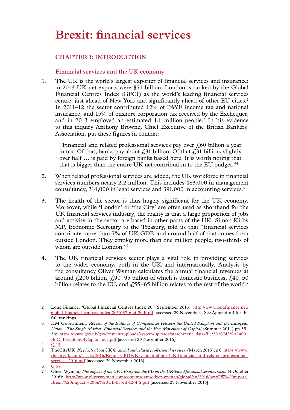## <span id="page-6-0"></span>**Brexit: financial services**

#### **Chapter 1: INTRODUCTION**

#### **Financial services and the UK economy**

1. The UK is the world's largest exporter of financial services and insurance: in 2013 UK net exports were \$71 billion. London is ranked by the Global Financial Centres Index (GFCI) as the world's leading financial services centre, just ahead of New York and significantly ahead of other EU cities.<sup>2</sup> In 2011–12 the sector contributed 12% of PAYE income tax and national insurance, and 15% of onshore corporation tax received by the Exchequer, and in 2013 employed an estimated 1.1 million people.<sup>3</sup> In his evidence to this inquiry Anthony Browne, Chief Executive of the British Bankers' Association, put these figures in context:

"Financial and related professional services pay over  $\zeta$ 60 billion a year in tax. Of that, banks pay about  $\ell$ , 31 billion. Of that  $\ell$ , 31 billion, slightly over half … is paid by foreign banks based here. It is worth noting that that is bigger than the entire UK net contribution to the EU budget."4

- 2. When related professional services are added, the UK workforce in financial services numbers nearly 2.2 million. This includes 483,000 in management consultancy, 314,000 in legal services and 391,000 in accounting services.5
- 3. The health of the sector is thus hugely significant for the UK economy. Moreover, while 'London' or 'the City' are often used as shorthand for the UK financial services industry, the reality is that a large proportion of jobs and activity in the sector are based in other parts of the UK. Simon Kirby MP, Economic Secretary to the Treasury, told us that "financial services contribute more than 7% of UK GDP, and around half of that comes from outside London. They employ more than one million people, two-thirds of whom are outside London."<sup>6</sup>
- 4. The UK financial services sector plays a vital role in providing services to the wider economy, both in the UK and internationally. Analysis by the consultancy Oliver Wyman calculates the annual financial revenues at around  $\text{\textsterling}200$  billion,  $\text{\textsterling}90-95$  billion of which is domestic business,  $\text{\textsterling}40-50$ billion relates to the EU, and  $\text{\textsterling}55-65$  billion relates to the rest of the world.<sup>7</sup>

<sup>2</sup> Long Finance, 'Global Financial Centres Index 20' (September 2016): [http://www.longfinance.net/](http://www.longfinance.net/global-financial-centres-index-20/1037-gfci-20.html) [global-financial-centres-index-20/1037-gfci-20.html](http://www.longfinance.net/global-financial-centres-index-20/1037-gfci-20.html) [accessed 29 November]. See Appendix 4 for the full rankings.

<sup>3</sup> HM Government, *Review of the Balance of Competences between the United Kingdom and the European Union - The Single Market: Financial Services and the Free Movement of Capital* (Summer 2014) pp 35– 36: [https://www.gov.uk/government/uploads/system/uploads/attachment\\_data/file/332874/2902400\\_](https://www.gov.uk/government/uploads/system/uploads/attachment_data/file/332874/2902400_BoC_FreedomOfCapital_acc.pdf) [BoC\\_FreedomOfCapital\\_acc.pdf](https://www.gov.uk/government/uploads/system/uploads/attachment_data/file/332874/2902400_BoC_FreedomOfCapital_acc.pdf) [accessed 29 November 2016]

<sup>4</sup> Q [15](http://data.parliament.uk/writtenevidence/committeeevidence.svc/evidencedocument/eu-financial-affairs-subcommittee/brexit-financial-services/oral/37867.html)

<sup>5</sup> TheCityUK, *Key facts about UK financial and related professional services*, (March 2016), p 6: [https://www.](https://www.thecityuk.com/assets/2016/Reports-PDF/Key-facts-about-UK-financial-and-related-professional-services-2016.pdf) [thecityuk.com/assets/2016/Reports-PDF/Key-facts-about-UK-financial-and-related-professional](https://www.thecityuk.com/assets/2016/Reports-PDF/Key-facts-about-UK-financial-and-related-professional-services-2016.pdf)[services-2016.pdf](https://www.thecityuk.com/assets/2016/Reports-PDF/Key-facts-about-UK-financial-and-related-professional-services-2016.pdf) [accessed 29 November 2016]

<sup>6</sup> Q [57](http://data.parliament.uk/writtenevidence/committeeevidence.svc/evidencedocument/eu-financial-affairs-subcommittee/brexit-financial-services/oral/41565.html)

<sup>7</sup> Oliver Wyman, *The impact of the UK's Exit from the EU on the UK-based financial services sector* (4 October 2016): [http://www.oliverwyman.com/content/dam/oliver-wyman/global/en/2016/oct/OW%20report\\_](http://www.oliverwyman.com/content/dam/oliver-wyman/global/en/2016/oct/OW%20report_Brexit%20impact%20on%20Uk-based%20FS.pdf) [Brexit%20impact%20on%20Uk-based%20FS.pdf](http://www.oliverwyman.com/content/dam/oliver-wyman/global/en/2016/oct/OW%20report_Brexit%20impact%20on%20Uk-based%20FS.pdf) [accessed 29 November 2016]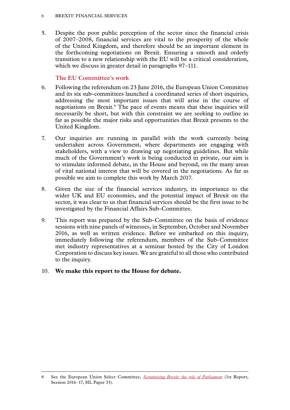#### <span id="page-7-0"></span>6 Brexit: financial services

5. Despite the poor public perception of the sector since the financial crisis of 2007–2008, financial services are vital to the prosperity of the whole of the United Kingdom, and therefore should be an important element in the forthcoming negotiations on Brexit. Ensuring a smooth and orderly transition to a new relationship with the EU will be a critical consideration, which we discuss in greater detail in paragraphs 97–111.

#### **The EU Committee's work**

- 6. Following the referendum on 23 June 2016, the European Union Committee and its six sub-committees launched a coordinated series of short inquiries, addressing the most important issues that will arise in the course of negotiations on Brexit.<sup>8</sup> The pace of events means that these inquiries will necessarily be short, but with this constraint we are seeking to outline as far as possible the major risks and opportunities that Brexit presents to the United Kingdom.
- 7. Our inquiries are running in parallel with the work currently being undertaken across Government, where departments are engaging with stakeholders, with a view to drawing up negotiating guidelines. But while much of the Government's work is being conducted in private, our aim is to stimulate informed debate, in the House and beyond, on the many areas of vital national interest that will be covered in the negotiations. As far as possible we aim to complete this work by March 2017.
- 8. Given the size of the financial services industry, its importance to the wider UK and EU economies, and the potential impact of Brexit on the sector, it was clear to us that financial services should be the first issue to be investigated by the Financial Affairs Sub-Committee.
- 9. This report was prepared by the Sub-Committee on the basis of evidence sessions with nine panels of witnesses, in September, October and November 2016, as well as written evidence. Before we embarked on this inquiry, immediately following the referendum, members of the Sub-Committee met industry representatives at a seminar hosted by the City of London Corporation to discuss key issues. We are grateful to all those who contributed to the inquiry.

#### 10. **We make this report to the House for debate.**

<sup>8</sup> See the European Union Select Committee, *[Scrutinising Brexit: the role of Parliament](http://www.publications.parliament.uk/pa/ld201617/ldselect/ldeucom/33/3302.htm)* (1st Report, Session 2016–17, HL Paper 33).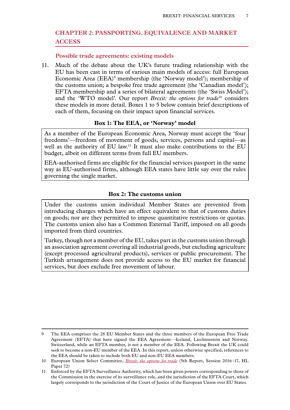#### <span id="page-8-0"></span>**Chapter 2: PASSPORTING, EQUIVALENCE AND MARKET ACCESS**

#### **Possible trade agreements: existing models**

11. Much of the debate about the UK's future trading relationship with the EU has been cast in terms of various main models of access: full European Economic Area (EEA)<sup>9</sup> membership (the 'Norway model'); membership of the customs union; a bespoke free trade agreement (the 'Canadian model'); EFTA membership and a series of bilateral agreements (the 'Swiss Model'); and the 'WTO model'. Our report *Brexit: the options for trade*10 considers these models in more detail. Boxes 1 to 5 below contain brief descriptions of each of them, focusing on their impact upon financial services.

#### **Box 1: The EEA, or 'Norway' model**

As a member of the European Economic Area, Norway must accept the 'four freedoms'—freedom of movement of goods, services, persons and capital—as well as the authority of EU law.<sup>11</sup> It must also make contributions to the EU budget, albeit on different terms from full EU members.

EEA-authorised firms are eligible for the financial services passport in the same way as EU-authorised firms, although EEA states have little say over the rules governing the single market.

#### **Box 2: The customs union**

Under the customs union individual Member States are prevented from introducing charges which have an effect equivalent to that of customs duties on goods; nor are they permitted to impose quantitative restrictions or quotas. The customs union also has a Common External Tariff, imposed on all goods imported from third countries.

Turkey, though not a member of the EU, takes part in the customs union through an association agreement covering all industrial goods, but excluding agriculture (except processed agricultural products), services or public procurement. The Turkish arrangement does not provide access to the EU market for financial services, but does exclude free movement of labour.

<sup>9</sup> The EEA comprises the 28 EU Member States and the three members of the European Free Trade Agreement (EFTA) that have signed the EEA Agreement––Iceland, Liechtenstein and Norway. Switzerland, while an EFTA member, is not a member of the EEA. Following Brexit the UK could seek to become a non-EU member of the EEA. In this report, unless otherwise specified, references to the EEA should be taken to include both EU and non-EU EEA members.

<sup>10</sup> European Union Select Committee, *[Brexit: the options for trade](http://www.publications.parliament.uk/pa/ld201617/ldselect/ldeucom/72/7202.htm)* (5th Report, Session 2016–17, HL Paper 72)

<sup>11</sup> Enforced by the EFTA Surveillance Authority, which has been given powers corresponding to those of the Commission in the exercise of its surveillance role, and the jurisdiction of the EFTA Court, which largely corresponds to the jurisdiction of the Court of Justice of the European Union over EU States.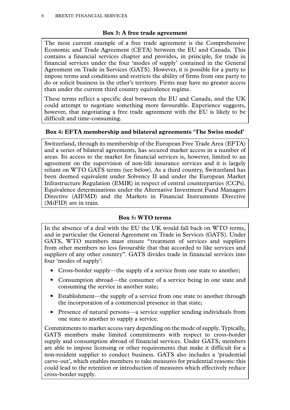#### **Box 3: A free trade agreement**

<span id="page-9-0"></span>The most current example of a free trade agreement is the Comprehensive Economic and Trade Agreement (CETA) between the EU and Canada. This contains a financial services chapter and provides, in principle, for trade in financial services under the four 'modes of supply' contained in the General Agreement on Trade in Services (GATS). However, it is possible for a party to impose terms and conditions and restricts the ability of firms from one party to do or solicit business in the other's territory. Firms may have no greater access than under the current third country equivalence regime.

These terms reflect a specific deal between the EU and Canada, and the UK could attempt to negotiate something more favourable. Experience suggests, however, that negotiating a free trade agreement with the EU is likely to be difficult and time-consuming.

#### **Box 4: EFTA membership and bilateral agreements 'The Swiss model'**

Switzerland, through its membership of the European Free Trade Area (EFTA) and a series of bilateral agreements, has secured market access in a number of areas. Its access to the market for financial services is, however, limited to an agreement on the supervision of non-life insurance services and it is largely reliant on WTO GATS terms (see below). As a third country, Switzerland has been deemed equivalent under Solvency II and under the European Market Infrastructure Regulation (EMIR) in respect of central counterparties (CCPs). Equivalence determinations under the Alternative Investment Fund Managers Directive (AIFMD) and the Markets in Financial Instruments Directive (MiFID) are in train.

#### **Box 5: WTO terms**

In the absence of a deal with the EU the UK would fall back on WTO terms, and in particular the General Agreement on Trade in Services (GATS). Under GATS, WTO members must ensure "treatment of services and suppliers from other members no less favourable that that accorded to like services and suppliers of any other country". GATS divides trade in financial services into four 'modes of supply':

- Cross-border supply—the supply of a service from one state to another;
- Consumption abroad—the consumer of a service being in one state and consuming the service in another state;
- Establishment—the supply of a service from one state to another through the incorporation of a commercial presence in that state;
- Presence of natural persons—a service supplier sending individuals from one state to another to supply a service.

Commitments to market access vary depending on the mode of supply. Typically, GATS members make limited commitments with respect to cross-border supply and consumption abroad of financial services. Under GATS, members are able to impose licensing or other requirements that make it difficult for a non-resident supplier to conduct business. GATS also includes a 'prudential carve-out', which enables members to take measures for prudential reasons: this could lead to the retention or introduction of measures which effectively reduce cross-border supply.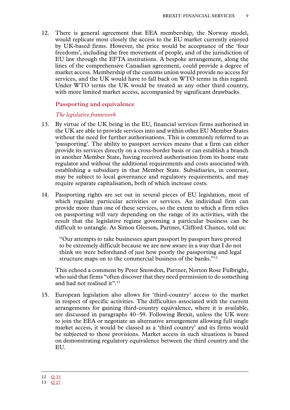<span id="page-10-0"></span>12. There is general agreement that EEA membership, the Norway model, would replicate most closely the access to the EU market currently enjoyed by UK-based firms. However, the price would be acceptance of the 'four freedoms', including the free movement of people, and of the jurisdiction of EU law through the EFTA institutions. A bespoke arrangement, along the lines of the comprehensive Canadian agreement, could provide a degree of market access. Membership of the customs union would provide no access for services, and the UK would have to fall back on WTO terms in this regard. Under WTO terms the UK would be treated as any other third country, with more limited market access, accompanied by significant drawbacks.

#### **Passporting and equivalence**

#### *The legislative framework*

- 13. By virtue of the UK being in the EU, financial services firms authorised in the UK are able to provide services into and within other EU Member States without the need for further authorisations. This is commonly referred to as 'passporting'. The ability to passport services means that a firm can either provide its services directly on a cross-border basis or can establish a branch in another Member State, having received authorisation from its home state regulator and without the additional requirements and costs associated with establishing a subsidiary in that Member State. Subsidiaries, in contrast, may be subject to local governance and regulatory requirements, and may require separate capitalisation, both of which increase costs.
- 14. Passporting rights are set out in several pieces of EU legislation, most of which regulate particular activities or services. An individual firm can provide more than one of these services, so the extent to which a firm relies on passporting will vary depending on the range of its activities, with the result that the legislative regime governing a particular business can be difficult to untangle. As Simon Gleeson, Partner, Clifford Chance, told us:

"Our attempts to take businesses apart passport by passport have proved to be extremely difficult because we are now aware in a way that I do not think we were beforehand of just how poorly the passporting and legal structure maps on to the commercial business of the banks."<sup>12</sup>

This echoed a comment by Peter Snowdon, Partner, Norton Rose Fulbright, who said that firms "often discover that they need permission to do something and had not realised it".<sup>13</sup>

15. European legislation also allows for 'third-country' access to the market in respect of specific activities. The difficulties associated with the current arrangements for gaining third-country equivalence, where it is available, are discussed in paragraphs 40–59. Following Brexit, unless the UK were to join the EEA or negotiate an alternative arrangement allowing full single market access, it would be classed as a 'third country' and its firms would be subjected to those provisions. Market access in such situations is based on demonstrating regulatory equivalence between the third country and the EU.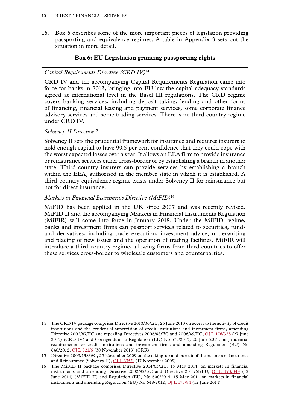<span id="page-11-0"></span>16. Box 6 describes some of the more important pieces of legislation providing passporting and equivalence regimes. A table in Appendix 3 sets out the situation in more detail.

#### **Box 6: EU Legislation granting passporting rights**

#### *Capital Requirements Directive (CRD IV)*<sup>14</sup>

CRD IV and the accompanying Capital Requirements Regulation came into force for banks in 2013, bringing into EU law the capital adequacy standards agreed at international level in the Basel III regulations. The CRD regime covers banking services, including deposit taking, lending and other forms of financing, financial leasing and payment services, some corporate finance advisory services and some trading services. There is no third country regime under CRD IV.

#### *Solvency II Directive*<sup>15</sup>

Solvency II sets the prudential framework for insurance and requires insurers to hold enough capital to have 99.5 per cent confidence that they could cope with the worst expected losses over a year. It allows an EEA firm to provide insurance or reinsurance services either cross-border or by establishing a branch in another state. Third-country insurers can provide services by establishing a branch within the EEA, authorised in the member state in which it is established. A third-country equivalence regime exists under Solvency II for reinsurance but not for direct insurance.

#### *Markets in Financial Instruments Directive (MiFID)*<sup>16</sup>

MiFID has been applied in the UK since 2007 and was recently revised. MiFID II and the accompanying Markets in Financial Instruments Regulation (MiFIR) will come into force in January 2018. Under the MiFID regime, banks and investment firms can passport services related to securities, funds and derivatives, including trade execution, investment advice, underwriting and placing of new issues and the operation of trading facilities. MiFIR will introduce a third-country regime, allowing firms from third countries to offer these services cross-border to wholesale customers and counterparties.

<sup>14</sup> The CRD IV package comprises Directive 2013/36/EU, 26 June 2013 on access to the activity of credit institutions and the prudential supervision of credit institutions and investment firms, amending Directive 2002/87/EC and repealing Directives 2006/48/EC and 2006/49/EC, [OJ L 176/338](http://eur-lex.europa.eu/legal-content/EN/TXT/?uri=CELEX:32013L0036) (27 June 2013) (CRD IV) and Corrigendum to Regulation (EU) No 575/2013, 26 June 2013, on prudential requirements for credit institutions and investment firms and amending Regulation (EU) No 648/2012, [OJ L 321/6](http://eur-lex.europa.eu/legal-content/EN/TXT/HTML/?uri=CELEX:32013R0575R(02)&rid=5) (30 November 2013) (CRR)

<sup>15</sup> Directive 2009/138/EC, 25 November 2009 on the taking-up and pursuit of the business of Insurance and Reinsurance (Solvency II), [OJ L 335/1](http://eur-lex.europa.eu/legal-content/EN/TXT/HTML/?uri=CELEX:32009L0138&from=en) (17 November 2009)

<sup>16</sup> The MiFID II package comprises Directive 2014/65/EU, 15 May 2014, on markets in financial instruments and amending Directive 2002/92/EC and Directive 2011/61/EU, [OJ L 173/349](http://eur-lex.europa.eu/legal-content/EN/TXT/?uri=uriserv%3AOJ.L_.2014.173.01.0349.01.ENG) (12 June 2014) (MiFID II) and Regulation (EU) No 600/2014, 15 May 2014 on markets in financial instruments and amending Regulation (EU) No  $648/2012$ , [OJ L 173/84](http://eur-lex.europa.eu/legal-content/EN/TXT/?uri=CELEX%3A32014R0600) (12 June 2014)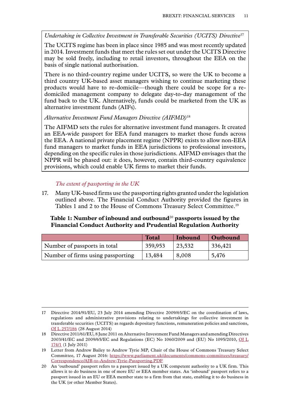<span id="page-12-0"></span>*Undertaking in Collective Investment in Transferable Securities (UCITS) Directive*<sup>17</sup>

The UCITS regime has been in place since 1985 and was most recently updated in 2014. Investment funds that meet the rules set out under the UCITS Directive may be sold freely, including to retail investors, throughout the EEA on the basis of single national authorisation.

There is no third-country regime under UCITS, so were the UK to become a third country UK-based asset managers wishing to continue marketing these products would have to re-domicile—though there could be scope for a redomiciled management company to delegate day-to-day management of the fund back to the UK. Alternatively, funds could be marketed from the UK as alternative investment funds (AIFs).

#### *Alternative Investment Fund Managers Directive (AIFMD)*<sup>18</sup>

The AIFMD sets the rules for alternative investment fund managers. It created an EEA-wide passport for EEA fund managers to market those funds across the EEA. A national private placement regime (NPPR) exists to allow non-EEA fund managers to market funds in EEA jurisdictions to professional investors, depending on the specific rules in those jurisdictions. AIFMD envisages that the NPPR will be phased out: it does, however, contain third-country equivalence provisions, which could enable UK firms to market their funds.

*The extent of passporting in the UK*

17. Many UK-based firms use the passporting rights granted under the legislation outlined above. The Financial Conduct Authority provided the figures in Tables 1 and 2 to the House of Commons Treasury Select Committee.19

#### **Table 1: Number of inbound and outbound**<sup>20</sup> **passports issued by the Financial Conduct Authority and Prudential Regulation Authority**

|                                   | <b>Total</b> | Inbound | Outbound |
|-----------------------------------|--------------|---------|----------|
| Number of passports in total      | 359,953      | 23,532  | 336,421  |
| Number of firms using passporting | 13,484       | 8,008   | 5,476    |

<sup>17</sup> Directive 2014/91/EU, 23 July 2014 amending Directive 2009/65/EC on the coordination of laws, regulations and administrative provisions relating to undertakings for collective investment in transferable securities (UCITS) as regards depositary functions, remuneration policies and sanctions, [OJ L 257/186](http://eur-lex.europa.eu/legal-content/EN/TXT/?uri=celex%3A32014L0091) (28 August 2014)

<sup>18</sup> Directive 2011/61/EU, 8 June 2011 on Alternative Investment Fund Managers and amending Directives 2003/41/EC and 2009/65/EC and Regulations (EC) No 1060/2009 and (EU) No 1095/2010, [OJ L](http://eur-lex.europa.eu/legal-content/en/TXT/?uri=celex%3A32011L0061) [174/1](http://eur-lex.europa.eu/legal-content/en/TXT/?uri=celex%3A32011L0061) (1 July 2011)

<sup>19</sup> Letter from Andrew Bailey to Andrew Tyrie MP, Chair of the House of Commons Treasury Select Committee, 17 August 2016: [https://www.parliament.uk/documents/commons-committees/treasury/](https://www.parliament.uk/documents/commons-committees/treasury/Correspondence/AJB-to-Andrew-Tyrie-Passporting.PDF ) [Correspondence/AJB-to-Andrew-Tyrie-Passporting.PDF](https://www.parliament.uk/documents/commons-committees/treasury/Correspondence/AJB-to-Andrew-Tyrie-Passporting.PDF )

<sup>20</sup> An 'outbound' passport refers to a passport issued by a UK competent authority to a UK firm. This allows it to do business in one of more EU or EEA member states. An 'inbound' passport refers to a passport issued in an EU or EEA member state to a firm from that state, enabling it to do business in the UK (or other Member States).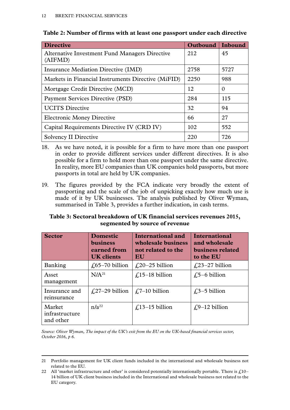| <b>Directive</b>                                                 | Outbound | Inbound  |
|------------------------------------------------------------------|----------|----------|
| <b>Alternative Investment Fund Managers Directive</b><br>(AIFMD) | 212      | 45       |
| Insurance Mediation Directive (IMD)                              | 2758     | 5727     |
| Markets in Financial Instruments Directive (MiFID)               | 2250     | 988      |
| Mortgage Credit Directive (MCD)                                  | 12       | $\Omega$ |
| Payment Services Directive (PSD)                                 | 284      | 115      |
| <b>UCITS</b> Directive                                           | 32       | 94       |
| <b>Electronic Money Directive</b>                                | 66       | 27       |
| Capital Requirements Directive IV (CRD IV)                       | 102      | 552      |
| <b>Solvency II Directive</b>                                     | 220      | 726      |

<span id="page-13-0"></span>

| Table 2: Number of firms with at least one passport under each directive |  |
|--------------------------------------------------------------------------|--|
|--------------------------------------------------------------------------|--|

- 18. As we have noted, it is possible for a firm to have more than one passport in order to provide different services under different directives. It is also possible for a firm to hold more than one passport under the same directive. In reality, more EU companies than UK companies hold passports, but more passports in total are held by UK companies.
- 19. The figures provided by the FCA indicate very broadly the extent of passporting and the scale of the job of unpicking exactly how much use is made of it by UK businesses. The analysis published by Oliver Wyman, summarised in Table 3, provides a further indication, in cash terms.

#### **Table 3: Sectoral breakdown of UK financial services revenues 2015, segmented by source of revenue**

| <b>Sector</b>                         | <b>Domestic</b><br><b>business</b><br>earned from<br><b>UK</b> clients | International and<br>wholesale business<br>not related to the<br>EU | <b>International</b><br>and wholesale<br>business related<br>to the EU |
|---------------------------------------|------------------------------------------------------------------------|---------------------------------------------------------------------|------------------------------------------------------------------------|
| Banking                               | $\text{\textsterling}65-70$ billion                                    | $\text{\textsterling}20-25$ billion                                 | $\text{\textsterling}23-27$ billion                                    |
| Asset<br>management                   | N/A <sup>21</sup>                                                      | £15–18 billion                                                      | £5–6 billion                                                           |
| Insurance and<br>reinsurance          | $\angle$ (27–29 billion                                                | $\angle$ 7–10 billion                                               | $\text{\textsterling}3-5$ billion                                      |
| Market<br>infrastructure<br>and other | $n/a^{22}$                                                             | $f(13-15)$ billion                                                  | $f(9-12)$ billion                                                      |

*Source: Oliver Wyman, The impact of the UK's exit from the EU on the UK-based financial services sector, October 2016, p 6.*

<sup>21</sup> Portfolio management for UK client funds included in the international and wholesale business not related to the EU.

<sup>22</sup> All 'market infrastructure and other' is considered potentially internationally portable. There is  $f_{10}$ -14 billion of UK client business included in the International and wholesale business not related to the EU category.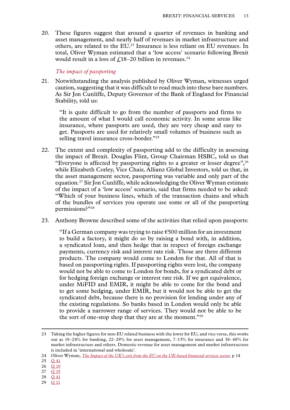<span id="page-14-0"></span>20. These figures suggest that around a quarter of revenues in banking and asset management, and nearly half of revenues in market infrastructure and others, are related to the EU.23 Insurance is less reliant on EU revenues. In total, Oliver Wyman estimated that a 'low access' scenario following Brexit would result in a loss of  $\frac{1}{2}$ 18–20 billion in revenues.<sup>24</sup>

#### *The impact of passporting*

21. Notwithstanding the analysis published by Oliver Wyman, witnesses urged caution, suggesting that it was difficult to read much into these bare numbers. As Sir Jon Cunliffe, Deputy Governor of the Bank of England for Financial Stability, told us:

"It is quite difficult to go from the number of passports and firms to the amount of what I would call economic activity. In some areas like insurance, where passports are used, they are very cheap and easy to get. Passports are used for relatively small volumes of business such as selling travel insurance cross-border."<sup>25</sup>

- 22. The extent and complexity of passporting add to the difficulty in assessing the impact of Brexit. Douglas Flint, Group Chairman HSBC, told us that "Everyone is affected by passporting rights to a greater or lesser degree",26 while Elizabeth Corley, Vice Chair, Allianz Global Investors, told us that, in the asset management sector, passporting was variable and only part of the equation.27 Sir Jon Cunliffe, while acknowledging the Oliver Wyman estimate of the impact of a 'low access' scenario, said that firms needed to be asked: "Which of your business lines, which of the transaction chains and which of the bundles of services you operate use some or all of the passporting permissions?"28
- 23. Anthony Browne described some of the activities that relied upon passports:

"If a German company was trying to raise  $\epsilon$ 500 million for an investment to build a factory, it might do so by raising a bond with, in addition, a syndicated loan, and then hedge that in respect of foreign exchange payments, currency risk and interest rate risk. Those are three different products. The company would come to London for that. All of that is based on passporting rights. If passporting rights were lost, the company would not be able to come to London for bonds, for a syndicated debt or for hedging foreign exchange or interest rate risk. If we got equivalence, under MiFID and EMIR, it might be able to come for the bond and to get some hedging, under EMIR, but it would not be able to get the syndicated debt, because there is no provision for lending under any of the existing regulations. So banks based in London would only be able to provide a narrower range of services. They would not be able to be the sort of one-stop shop that they are at the moment."29

- 24 Oliver Wyman, *[The Impact of the UK's exit from the EU on the UK-based financial services sector](http://www.oliverwyman.com/content/dam/oliver-wyman/global/en/2016/oct/OW%20report_Brexit%20impact%20on%20Uk-based%20FS.pdf)*, p 14
- 25 Q [41](http://data.parliament.uk/writtenevidence/committeeevidence.svc/evidencedocument/eu-financial-affairs-subcommittee/brexit-financial-services/oral/41227.html)
- 26 Q [19](http://data.parliament.uk/writtenevidence/committeeevidence.svc/evidencedocument/eu-financial-affairs-subcommittee/brexit-financial-services/oral/38487.html)
- 27 Q [19](http://data.parliament.uk/writtenevidence/committeeevidence.svc/evidencedocument/eu-financial-affairs-subcommittee/brexit-financial-services/oral/38487.html)
- $28 \overline{041}$  $28 \overline{041}$  $28 \overline{041}$
- 29 Q [11](http://data.parliament.uk/writtenevidence/committeeevidence.svc/evidencedocument/eu-financial-affairs-subcommittee/brexit-financial-services/oral/37867.html)

<sup>23</sup> Taking the higher figures for non-EU related business with the lower for EU, and vice versa, this works out as 19–24% for banking, 22–29% for asset management, 7–13% for insurance and 38–48% for market infrastructure and others. Domestic revenue for asset management and market infrastructure is included in 'international and wholesale'.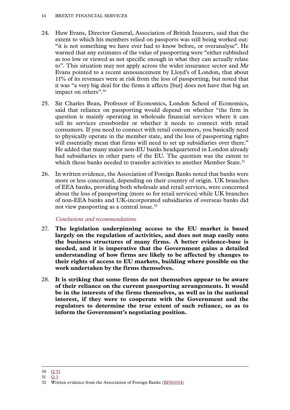- <span id="page-15-0"></span>24. Huw Evans, Director General, Association of British Insurers, said that the extent to which his members relied on passports was still being worked out: "it is not something we have ever had to know before, or overanalyse". He warned that any estimates of the value of passporting were "either rubbished as too low or viewed as not specific enough in what they can actually relate to". This situation may not apply across the wider insurance sector and Mr Evans pointed to a recent announcement by Lloyd's of London, that about 11% of its revenues were at risk from the loss of passporting, but noted that it was "a very big deal for the firms it affects [but] does not have that big an impact on others".<sup>30</sup>
- 25. Sir Charles Bean, Professor of Economics, London School of Economics, said that reliance on passporting would depend on whether "the firm in question is mainly operating in wholesale financial services where it can sell its services crossborder or whether it needs to connect with retail consumers. If you need to connect with retail consumers, you basically need to physically operate in the member state, and the loss of passporting rights will essentially mean that firms will need to set up subsidiaries over there." He added that many major non-EU banks headquartered in London already had subsidiaries in other parts of the EU. The question was the extent to which those banks needed to transfer activities to another Member State.<sup>31</sup>
- 26. In written evidence, the Association of Foreign Banks noted that banks were more or less concerned, depending on their country of origin. UK branches of EEA banks, providing both wholesale and retail services, were concerned about the loss of passporting (more so for retail services) while UK branches of non-EEA banks and UK-incorporated subsidiaries of overseas banks did not view passporting as a central issue.<sup>32</sup>

#### *Conclusions and recommendations*

- 27. **The legislation underpinning access to the EU market is based largely on the regulation of activities, and does not map easily onto the business structures of many firms. A better evidence-base is needed, and it is imperative that the Government gains a detailed understanding of how firms are likely to be affected by changes to their rights of access to EU markets, building where possible on the work undertaken by the firms themselves.**
- 28. **It is striking that some firms do not themselves appear to be aware of their reliance on the current passporting arrangements. It would be in the interests of the firms themselves, as well as in the national interest, if they were to cooperate with the Government and the regulators to determine the true extent of such reliance, so as to inform the Government's negotiating position.**

<sup>30</sup> Q [51](http://data.parliament.uk/writtenevidence/committeeevidence.svc/evidencedocument/eu-financial-affairs-subcommittee/brexit-financial-services/oral/41228.html)

<sup>31</sup> [Q](http://data.parliament.uk/writtenevidence/committeeevidence.svc/evidencedocument/eu-financial-affairs-subcommittee/brexit-financial-services/oral/37866.html) 3

<sup>32</sup> Written evidence from the Association of Foreign Banks ([BFS0004\)](http://data.parliament.uk/writtenevidence/committeeevidence.svc/evidencedocument/eu-financial-affairs-subcommittee/brexit-financial-services/written/42495.html)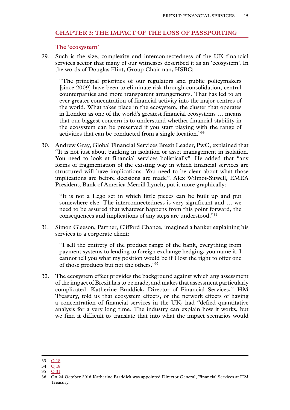#### <span id="page-16-0"></span>**Chapter 3: THE IMPACT OF THE LOSS OF PASSPORTING**

#### **The 'ecosystem'**

29. Such is the size, complexity and interconnectedness of the UK financial services sector that many of our witnesses described it as an 'ecosystem'. In the words of Douglas Flint, Group Chairman, HSBC:

"The principal priorities of our regulators and public policymakers [since 2009] have been to eliminate risk through consolidation, central counterparties and more transparent arrangements. That has led to an ever greater concentration of financial activity into the major centres of the world. What takes place in the ecosystem, the cluster that operates in London as one of the world's greatest financial ecosystems … means that our biggest concern is to understand whether financial stability in the ecosystem can be preserved if you start playing with the range of activities that can be conducted from a single location."33

30. Andrew Gray, Global Financial Services Brexit Leader, PwC, explained that "It is not just about banking in isolation or asset management in isolation. You need to look at financial services holistically". He added that "any forms of fragmentation of the existing way in which financial services are structured will have implications. You need to be clear about what those implications are before decisions are made". Alex Wilmot-Sitwell, EMEA President, Bank of America Merrill Lynch, put it more graphically:

"It is not a Lego set in which little pieces can be built up and put somewhere else. The interconnectedness is very significant and … we need to be assured that whatever happens from this point forward, the consequences and implications of any steps are understood."34

31. Simon Gleeson, Partner, Clifford Chance, imagined a banker explaining his services to a corporate client:

"I sell the entirety of the product range of the bank, everything from payment systems to lending to foreign exchange hedging, you name it. I cannot tell you what my position would be if I lost the right to offer one of those products but not the others."35

32. The ecosystem effect provides the background against which any assessment of the impact of Brexit has to be made, and makes that assessment particularly complicated. Katherine Braddick, Director of Financial Services,<sup>36</sup> HM Treasury, told us that ecosystem effects, or the network effects of having a concentration of financial services in the UK, had "defied quantitative analysis for a very long time. The industry can explain how it works, but we find it difficult to translate that into what the impact scenarios would

<sup>33</sup> Q [18](http://data.parliament.uk/writtenevidence/committeeevidence.svc/evidencedocument/eu-financial-affairs-subcommittee/brexit-financial-services/oral/38487.html)

<sup>34</sup> Q [18](http://data.parliament.uk/writtenevidence/committeeevidence.svc/evidencedocument/eu-financial-affairs-subcommittee/brexit-financial-services/oral/38487.html)

<sup>35</sup> Q [31](http://data.parliament.uk/writtenevidence/committeeevidence.svc/evidencedocument/eu-financial-affairs-subcommittee/brexit-financial-services/oral/38488.html)

<sup>36</sup> On 24 October 2016 Katherine Braddick was appointed Director General, Financial Services at HM Treasury.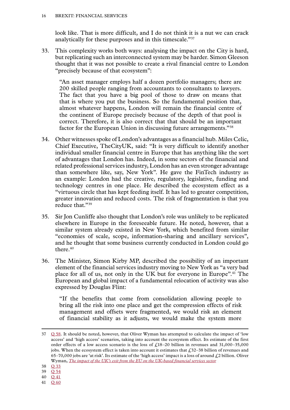look like. That is more difficult, and I do not think it is a nut we can crack analytically for these purposes and in this timescale."37

33. This complexity works both ways: analysing the impact on the City is hard, but replicating such an interconnected system may be harder. Simon Gleeson thought that it was not possible to create a rival financial centre to London "precisely because of that ecosystem":

"An asset manager employs half a dozen portfolio managers; there are 200 skilled people ranging from accountants to consultants to lawyers. The fact that you have a big pool of those to draw on means that that is where you put the business. So the fundamental position that, almost whatever happens, London will remain the financial centre of the continent of Europe precisely because of the depth of that pool is correct. Therefore, it is also correct that that should be an important factor for the European Union in discussing future arrangements."38

- 34. Other witnesses spoke of London's advantages as a financial hub. Miles Celic, Chief Executive, TheCityUK, said: "It is very difficult to identify another individual smaller financial centre in Europe that has anything like the sort of advantages that London has. Indeed, in some sectors of the financial and related professional services industry, London has an even stronger advantage than somewhere like, say, New York". He gave the FinTech industry as an example: London had the creative, regulatory, legislative, funding and technology centres in one place. He described the ecosystem effect as a "virtuous circle that has kept feeding itself. It has led to greater competition, greater innovation and reduced costs. The risk of fragmentation is that you reduce that."39
- 35. Sir Jon Cunliffe also thought that London's role was unlikely to be replicated elsewhere in Europe in the foreseeable future. He noted, however, that a similar system already existed in New York, which benefited from similar "economies of scale, scope, information-sharing and ancillary services", and he thought that some business currently conducted in London could go there.<sup>40</sup>
- 36. The Minister, Simon Kirby MP, described the possibility of an important element of the financial services industry moving to New York as "a very bad place for all of us, not only in the UK but for everyone in Europe".41 The European and global impact of a fundamental relocation of activity was also expressed by Douglas Flint:

"If the benefits that come from consolidation allowing people to bring all the risk into one place and get the compression effects of risk management and offsets were fragmented, we would risk an element of financial stability as it adjusts, we would make the system more

41 Q [60](http://data.parliament.uk/writtenevidence/committeeevidence.svc/evidencedocument/eu-financial-affairs-subcommittee/brexit-financial-services/oral/41565.html)

 $37 \quad Q$  [58.](http://data.parliament.uk/writtenevidence/committeeevidence.svc/evidencedocument/eu-financial-affairs-subcommittee/brexit-financial-services/oral/41565.html) It should be noted, however, that Oliver Wyman has attempted to calculate the impact of 'low access' and 'high access' scenarios, taking into account the ecosystem effect. Its estimate of the first order effects of a low access scenario is the loss of  $f_118-20$  billion in revenues and 31,000-35,000 jobs. When the ecosystem effect is taken into account it estimates that £32–38 billion of revenues and 65–70,000 jobs are 'at risk'. Its estimate of the 'high access' impact is a loss of around  $f<sub>1</sub>2$  billion. Oliver Wyman, *[The impact of the UK's exit from the EU on the UK-based financial services sector](http://www.oliverwyman.com/content/dam/oliver-wyman/global/en/2016/oct/OW%20report_Brexit%20impact%20on%20Uk-based%20FS.pdf)*

<sup>38</sup> Q [33](http://data.parliament.uk/writtenevidence/committeeevidence.svc/evidencedocument/eu-financial-affairs-subcommittee/brexit-financial-services/oral/38488.html)

<sup>39</sup> Q [54](http://data.parliament.uk/writtenevidence/committeeevidence.svc/evidencedocument/eu-financial-affairs-subcommittee/brexit-financial-services/oral/41228.html)

<sup>40</sup> Q [41](http://data.parliament.uk/writtenevidence/committeeevidence.svc/evidencedocument/eu-financial-affairs-subcommittee/brexit-financial-services/oral/41227.html)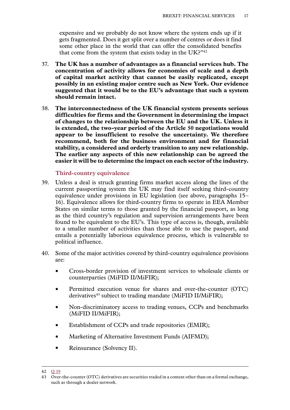<span id="page-18-0"></span>expensive and we probably do not know where the system ends up if it gets fragmented. Does it get split over a number of centres or does it find some other place in the world that can offer the consolidated benefits that come from the system that exists today in the UK?"42

- 37. **The UK has a number of advantages as a financial services hub. The concentration of activity allows for economies of scale and a depth of capital market activity that cannot be easily replicated, except possibly in an existing major centre such as New York. Our evidence suggested that it would be to the EU's advantage that such a system should remain intact.**
- 38. **The interconnectedness of the UK financial system presents serious difficulties for firms and the Government in determining the impact of changes to the relationship between the EU and the UK. Unless it is extended, the two-year period of the Article 50 negotiations would appear to be insufficient to resolve the uncertainty. We therefore recommend, both for the business environment and for financial stability, a considered and orderly transition to any new relationship. The earlier any aspects of this new relationship can be agreed the easier it will be to determine the impact on each sector of the industry.**

#### **Third-country equivalence**

- 39. Unless a deal is struck granting firms market access along the lines of the current passporting system the UK may find itself seeking third-country equivalence under provisions in EU legislation (see above, paragraphs 15– 16). Equivalence allows for third-country firms to operate in EEA Member States on similar terms to those granted by the financial passport, as long as the third country's regulation and supervision arrangements have been found to be equivalent to the EU's. This type of access is, though, available to a smaller number of activities than those able to use the passport, and entails a potentially laborious equivalence process, which is vulnerable to political influence.
- 40. Some of the major activities covered by third-country equivalence provisions are:
	- Cross-border provision of investment services to wholesale clients or counterparties (MiFID II/MiFIR);
	- Permitted execution venue for shares and over-the-counter (OTC) derivatives<sup>43</sup> subject to trading mandate (MiFID II/MiFIR);
	- Non-discriminatory access to trading venues, CCPs and benchmarks (MiFID II/MiFIR);
	- Establishment of CCPs and trade repositories (EMIR);
	- Marketing of Alternative Investment Funds (AIFMD);
	- Reinsurance (Solvency II).

<sup>42</sup> Q [19](http://data.parliament.uk/writtenevidence/committeeevidence.svc/evidencedocument/eu-financial-affairs-subcommittee/brexit-financial-services/oral/38487.html)

<sup>43</sup> Over-the-counter (OTC) derivatives are securities traded in a context other than on a formal exchange, such as through a dealer network.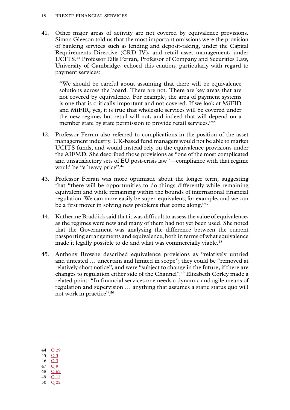41. Other major areas of activity are not covered by equivalence provisions. Simon Gleeson told us that the most important omissions were the provision of banking services such as lending and deposit-taking, under the Capital Requirements Directive (CRD IV), and retail asset management, under UCITS.44 Professor Eilís Ferran, Professor of Company and Securities Law, University of Cambridge, echoed this caution, particularly with regard to payment services:

"We should be careful about assuming that there will be equivalence solutions across the board. There are not. There are key areas that are not covered by equivalence. For example, the area of payment systems is one that is critically important and not covered. If we look at MiFID and MiFIR, yes, it is true that wholesale services will be covered under the new regime, but retail will not, and indeed that will depend on a member state by state permission to provide retail services."<sup>45</sup>

- 42. Professor Ferran also referred to complications in the position of the asset management industry. UK-based fund managers would not be able to market UCITS funds, and would instead rely on the equivalence provisions under the AIFMD. She described those provisions as "one of the most complicated and unsatisfactory sets of EU post-crisis law"—compliance with that regime would be "a heavy price".<sup>46</sup>
- 43. Professor Ferran was more optimistic about the longer term, suggesting that "there will be opportunities to do things differently while remaining equivalent and while remaining within the bounds of international financial regulation. We can more easily be super-equivalent, for example, and we can be a first mover in solving new problems that come along."<sup>47</sup>
- 44. Katherine Braddick said that it was difficult to assess the value of equivalence, as the regimes were new and many of them had not yet been used. She noted that the Government was analysing the difference between the current passporting arrangements and equivalence, both in terms of what equivalence made it legally possible to do and what was commercially viable.<sup>48</sup>
- 45. Anthony Browne described equivalence provisions as "relatively untried and untested … uncertain and limited in scope"; they could be "removed at relatively short notice", and were "subject to change in the future, if there are changes to regulation either side of the Channel".49 Elizabeth Corley made a related point: "In financial services one needs a dynamic and agile means of regulation and supervision … anything that assumes a static status quo will not work in practice".50

- 45 [Q](http://data.parliament.uk/writtenevidence/committeeevidence.svc/evidencedocument/eu-financial-affairs-subcommittee/brexit-financial-services/oral/37866.html) 3 46 [Q](http://data.parliament.uk/writtenevidence/committeeevidence.svc/evidencedocument/eu-financial-affairs-subcommittee/brexit-financial-services/oral/37866.html) 3
- 47 [Q](http://data.parliament.uk/writtenevidence/committeeevidence.svc/evidencedocument/eu-financial-affairs-subcommittee/brexit-financial-services/oral/37866.html) 9
- 48 Q [63](http://data.parliament.uk/writtenevidence/committeeevidence.svc/evidencedocument/eu-financial-affairs-subcommittee/brexit-financial-services/oral/41565.html)
- 49 Q [11](http://data.parliament.uk/writtenevidence/committeeevidence.svc/evidencedocument/eu-financial-affairs-subcommittee/brexit-financial-services/oral/37867.html)
- 50 Q [22](http://data.parliament.uk/writtenevidence/committeeevidence.svc/evidencedocument/eu-financial-affairs-subcommittee/brexit-financial-services/oral/38487.html)

<sup>44</sup> Q [29](http://spire:8082/SPIREWEBDAV/Fileplan/SCRUTINY/HL/EU%20SUB-COMMITTEE%20A/COMMITTEE%20MEETINGS/2016-2017/Agendas/27-37%20http:/data.parliament.uk/writtenevidence/committeeevidence.svc/evidencedocument/eu-financial-affairs-subcommittee/brexit-financial-services/oral/38488.html)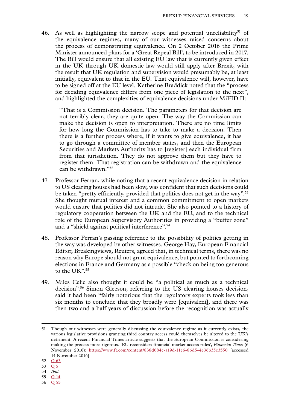46. As well as highlighting the narrow scope and potential unreliability<sup>51</sup> of the equivalence regimes, many of our witnesses raised concerns about the process of demonstrating equivalence. On 2 October 2016 the Prime Minister announced plans for a 'Great Repeal Bill', to be introduced in 2017. The Bill would ensure that all existing EU law that is currently given effect in the UK through UK domestic law would still apply after Brexit, with the result that UK regulation and supervision would presumably be, at least initially, equivalent to that in the EU. That equivalence will, however, have to be signed off at the EU level. Katherine Braddick noted that the "process for deciding equivalence differs from one piece of legislation to the next", and highlighted the complexities of equivalence decisions under MiFID II:

"That is a Commission decision. The parameters for that decision are not terribly clear; they are quite open. The way the Commission can make the decision is open to interpretation. There are no time limits for how long the Commission has to take to make a decision. Then there is a further process where, if it wants to give equivalence, it has to go through a committee of member states, and then the European Securities and Markets Authority has to [register] each individual firm from that jurisdiction. They do not approve them but they have to register them. That registration can be withdrawn and the equivalence can be withdrawn."52

- 47. Professor Ferran, while noting that a recent equivalence decision in relation to US clearing houses had been slow, was confident that such decisions could be taken "pretty efficiently, provided that politics does not get in the way".<sup>53</sup> She thought mutual interest and a common commitment to open markets would ensure that politics did not intrude. She also pointed to a history of regulatory cooperation between the UK and the EU, and to the technical role of the European Supervisory Authorities in providing a "buffer zone" and a "shield against political interference".54
- 48. Professor Ferran's passing reference to the possibility of politics getting in the way was developed by other witnesses. George Hay, European Financial Editor, Breakingviews, Reuters, agreed that, in technical terms, there was no reason why Europe should not grant equivalence, but pointed to forthcoming elections in France and Germany as a possible "check on being too generous to the UK".<sup>55</sup>
- 49. Miles Celic also thought it could be "a political as much as a technical decision".56 Simon Gleeson, referring to the US clearing houses decision, said it had been "fairly notorious that the regulatory experts took less than six months to conclude that they broadly were [equivalent], and there was then two and a half years of discussion before the recognition was actually

- 55 Q [14](http://data.parliament.uk/writtenevidence/committeeevidence.svc/evidencedocument/eu-financial-affairs-subcommittee/brexit-financial-services/oral/37867.html)
- 56 Q [55](http://data.parliament.uk/writtenevidence/committeeevidence.svc/evidencedocument/eu-financial-affairs-subcommittee/brexit-financial-services/oral/41228.html)

<sup>51</sup> Though our witnesses were generally discussing the equivalence regime as it currently exists, the various legislative provisions granting third country access could themselves be altered to the UK's detriment. A recent Financial Times article suggests that the European Commission is considering making the process more rigorous. 'EU reconsiders financial market access rules', *Financial Times* (6 November 2016): <https://www.ft.com/content/838d084c-a19d-11e6-86d5-4e36b35c3550> [accessed 14 November 2016]

<sup>52</sup> Q [63](http://data.parliament.uk/writtenevidence/committeeevidence.svc/evidencedocument/eu-financial-affairs-subcommittee/brexit-financial-services/oral/41565.html)

<sup>53</sup> [Q](http://data.parliament.uk/writtenevidence/committeeevidence.svc/evidencedocument/eu-financial-affairs-subcommittee/brexit-financial-services/oral/37866.html) 5

<sup>54</sup> *Ibid.*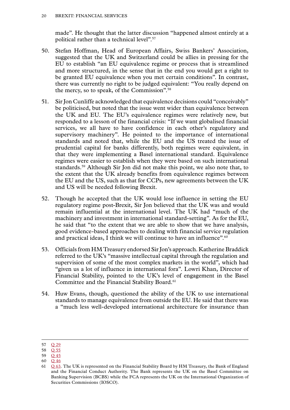made". He thought that the latter discussion "happened almost entirely at a political rather than a technical level".<sup>57</sup>

- 50. Stefan Hoffman, Head of European Affairs, Swiss Bankers' Association, suggested that the UK and Switzerland could be allies in pressing for the EU to establish "an EU equivalence regime or process that is streamlined and more structured, in the sense that in the end you would get a right to be granted EU equivalence when you met certain conditions". In contrast, there was currently no right to be judged equivalent: "You really depend on the mercy, so to speak, of the Commission".58
- 51. Sir Jon Cunliffe acknowledged that equivalence decisions could "conceivably" be politicised, but noted that the issue went wider than equivalence between the UK and EU. The EU's equivalence regimes were relatively new, but responded to a lesson of the financial crisis: "If we want globalised financial services, we all have to have confidence in each other's regulatory and supervisory machinery". He pointed to the importance of international standards and noted that, while the EU and the US treated the issue of prudential capital for banks differently, both regimes were equivalent, in that they were implementing a Basel international standard. Equivalence regimes were easier to establish when they were based on such international standards.59 Although Sir Jon did not make this point, we also note that, to the extent that the UK already benefits from equivalence regimes between the EU and the US, such as that for CCPs, new agreements between the UK and US will be needed following Brexit.
- 52. Though he accepted that the UK would lose influence in setting the EU regulatory regime post-Brexit, Sir Jon believed that the UK was and would remain influential at the international level. The UK had "much of the machinery and investment in international standard-setting". As for the EU, he said that "to the extent that we are able to show that we have analysis, good evidence-based approaches to dealing with financial service regulation and practical ideas, I think we will continue to have an influence".<sup>60</sup>
- 53. Officials from HM Treasury endorsed Sir Jon's approach. Katherine Braddick referred to the UK's "massive intellectual capital through the regulation and supervision of some of the most complex markets in the world", which had "given us a lot of influence in international fora". Lowri Khan, Director of Financial Stability, pointed to the UK's level of engagement in the Basel Committee and the Financial Stability Board.<sup>61</sup>
- 54. Huw Evans, though, questioned the ability of the UK to use international standards to manage equivalence from outside the EU. He said that there was a "much less well-developed international architecture for insurance than

<sup>57</sup> Q [29](http://data.parliament.uk/writtenevidence/committeeevidence.svc/evidencedocument/eu-financial-affairs-subcommittee/brexit-financial-services/oral/38488.html)

<sup>58</sup> Q [55](http://data.parliament.uk/writtenevidence/committeeevidence.svc/evidencedocument/eu-financial-affairs-subcommittee/brexit-financial-services/oral/41228.html)

<sup>59</sup> Q [45](http://data.parliament.uk/writtenevidence/committeeevidence.svc/evidencedocument/eu-financial-affairs-subcommittee/brexit-financial-services/oral/41227.html)

<sup>60</sup> Q [46](http://data.parliament.uk/writtenevidence/committeeevidence.svc/evidencedocument/eu-financial-affairs-subcommittee/brexit-financial-services/oral/41227.html)

<sup>61</sup> Q [63](http://data.parliament.uk/writtenevidence/committeeevidence.svc/evidencedocument/eu-financial-affairs-subcommittee/brexit-financial-services/oral/41565.html). The UK is represented on the Financial Stability Board by HM Treasury, the Bank of England and the Financial Conduct Authority. The Bank represents the UK on the Basel Committee on Banking Supervision (BCBS) while the FCA represents the UK on the International Organization of Securities Commissions (IOSCO).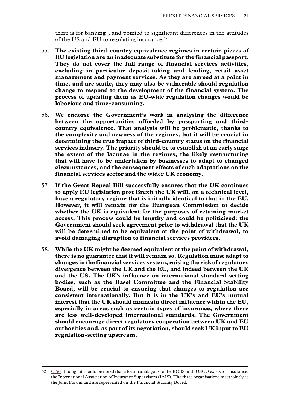there is for banking", and pointed to significant differences in the attitudes of the US and EU to regulating insurance.<sup>62</sup>

- 55. **The existing third-country equivalence regimes in certain pieces of EU legislation are an inadequate substitute for the financial passport. They do not cover the full range of financial services activities, excluding in particular deposit-taking and lending, retail asset management and payment services. As they are agreed at a point in time, and are static, they may also be vulnerable should regulation change to respond to the development of the financial system. The process of updating them as EU-wide regulation changes would be laborious and time-consuming.**
- 56. **We endorse the Government's work in analysing the difference between the opportunities afforded by passporting and thirdcountry equivalence. That analysis will be problematic, thanks to the complexity and newness of the regimes, but it will be crucial in determining the true impact of third-country status on the financial services industry. The priority should be to establish at an early stage the extent of the lacunae in the regimes, the likely restructuring that will have to be undertaken by businesses to adapt to changed circumstances, and the consequent effects of such adaptations on the financial services sector and the wider UK economy.**
- 57. **If the Great Repeal Bill successfully ensures that the UK continues to apply EU legislation post Brexit the UK will, on a technical level, have a regulatory regime that is initially identical to that in the EU. However, it will remain for the European Commission to decide whether the UK is equivalent for the purposes of retaining market access. This process could be lengthy and could be politicised: the Government should seek agreement prior to withdrawal that the UK will be determined to be equivalent at the point of withdrawal, to avoid damaging disruption to financial services providers.**
- 58. **While the UK might be deemed equivalent at the point of withdrawal, there is no guarantee that it will remain so. Regulation must adapt to changes in the financial services system, raising the risk of regulatory divergence between the UK and the EU, and indeed between the UK and the US. The UK's influence on international standard-setting bodies, such as the Basel Committee and the Financial Stability Board, will be crucial to ensuring that changes to regulation are consistent internationally. But it is in the UK's and EU's mutual interest that the UK should maintain direct influence within the EU, especially in areas such as certain types of insurance, where there are less well-developed international standards. The Government should encourage direct regulatory cooperation between UK and EU authorities and, as part of its negotiation, should seek UK input to EU regulation-setting upstream.**

<sup>62</sup> Q [50.](http://data.parliament.uk/writtenevidence/committeeevidence.svc/evidencedocument/eu-financial-affairs-subcommittee/brexit-financial-services/oral/41228.html) Though it should be noted that a forum analagous to the BCBS and IOSCO exists for insurance: the International Association of Insurance Supervisors (IAIS). The three organisations meet jointly as the Joint Forum and are represented on the Financial Stability Board.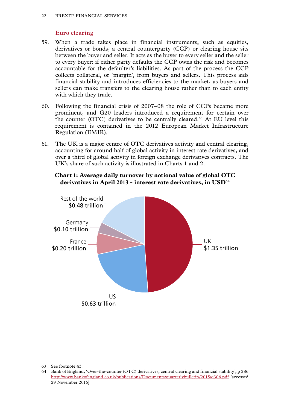#### **Euro clearing**

- <span id="page-23-0"></span>59. When a trade takes place in financial instruments, such as equities, derivatives or bonds, a central counterparty (CCP) or clearing house sits between the buyer and seller. It acts as the buyer to every seller and the seller to every buyer: if either party defaults the CCP owns the risk and becomes accountable for the defaulter's liabilities. As part of the process the CCP collects collateral, or 'margin', from buyers and sellers. This process aids financial stability and introduces efficiencies to the market, as buyers and sellers can make transfers to the clearing house rather than to each entity with which they trade.
- 60. Following the financial crisis of 2007–08 the role of CCPs became more prominent, and G20 leaders introduced a requirement for certain over the counter (OTC) derivatives to be centrally cleared.63 At EU level this requirement is contained in the 2012 European Market Infrastructure Regulation (EMIR).
- 61. The UK is a major centre of OTC derivatives activity and central clearing, accounting for around half of global activity in interest rate derivatives, and over a third of global activity in foreign exchange derivatives contracts. The UK's share of such activity is illustrated in Charts 1 and 2.





<sup>63</sup> See footnote 43.

<sup>64</sup> Bank of England, 'Over-the-counter (OTC) derivatives, central clearing and financial stability', p 286 <http://www.bankofengland.co.uk/publications/Documents/quarterlybulletin/2015/q306.pdf>[accessed 29 November 2016]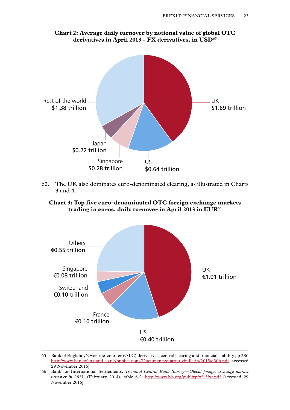<span id="page-24-0"></span>

#### **Chart 2: Average daily turnover by notional value of global OTC derivatives in April 2013 - FX derivatives, in USD**<sup>65</sup>

62. The UK also dominates euro-denominated clearing, as illustrated in Charts 3 and 4.

**Chart 3: Top five euro-denominated OTC foreign exchange markets trading in euros, daily turnover in April 2013 in EUR**<sup>66</sup>



<sup>65</sup> Bank of England, 'Over-the-counter (OTC) derivatives, central clearing and financial stability', p 286 <http://www.bankofengland.co.uk/publications/Documents/quarterlybulletin/2015/q306.pdf>[accessed 29 November 2016]

<sup>66</sup> Bank for International Settlements, *Triennial Central Bank Survey—Global foreign exchange market turnover in 2013,* (February 2014), table 6.2: <http://www.bis.org/publ/rpfxf13fxt.pdf> [accessed 29 November 2016]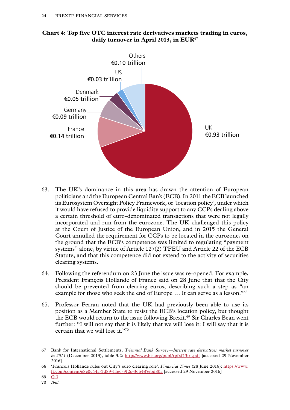

#### <span id="page-25-0"></span>**Chart 4: Top five OTC interest rate derivatives markets trading in euros, daily turnover in April 2013, in EUR**<sup>67</sup>

- 63. The UK's dominance in this area has drawn the attention of European politicians and the European Central Bank (ECB). In 2011 the ECB launched its Eurosystem Oversight Policy Framework, or 'location policy', under which it would have refused to provide liquidity support to any CCPs dealing above a certain threshold of euro-denominated transactions that were not legally incorporated and run from the eurozone. The UK challenged this policy at the Court of Justice of the European Union, and in 2015 the General Court annulled the requirement for CCPs to be located in the eurozone, on the ground that the ECB's competence was limited to regulating "payment systems" alone, by virtue of Article 127(2) TFEU and Article 22 of the ECB Statute, and that this competence did not extend to the activity of securities clearing systems.
- 64. Following the referendum on 23 June the issue was re-opened. For example, President François Hollande of France said on 28 June that that the City should be prevented from clearing euros, describing such a step as "an example for those who seek the end of Europe … It can serve as a lesson."68
- 65. Professor Ferran noted that the UK had previously been able to use its position as a Member State to resist the ECB's location policy, but thought the ECB would return to the issue following Brexit.<sup>69</sup> Sir Charles Bean went further: "I will not say that it is likely that we will lose it: I will say that it is certain that we will lose it."70

69 [Q](http://data.parliament.uk/writtenevidence/committeeevidence.svc/evidencedocument/eu-financial-affairs-subcommittee/brexit-financial-services/oral/37866.html) 3

<sup>67</sup> Bank for International Settlements, *Triennial Bank Survey—Interest rate derivatives market turnover in 2013* (December 2013), table 3.2: <http://www.bis.org/publ/rpfxf13irt.pdf> [accessed 29 November 2016]

<sup>68</sup> 'Francois Hollande rules out City's euro clearing role', *Financial Times* (28 June 2016): [https://www.](https://www.ft.com/content/e8e0c44a-3d89-11e6-9f2c-36b487ebd80a) [ft.com/content/e8e0c44a-3d89-11e6-9f2c-36b487ebd80a](https://www.ft.com/content/e8e0c44a-3d89-11e6-9f2c-36b487ebd80a) [accessed 29 November 2016]

<sup>70</sup> *Ibid*.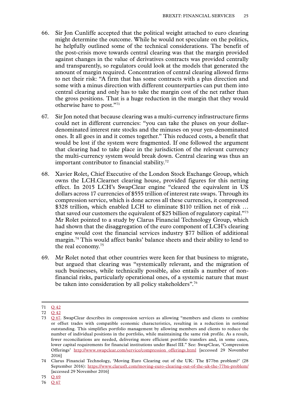- 66. Sir Jon Cunliffe accepted that the political weight attached to euro clearing might determine the outcome. While he would not speculate on the politics, he helpfully outlined some of the technical considerations. The benefit of the post-crisis move towards central clearing was that the margin provided against changes in the value of derivatives contracts was provided centrally and transparently, so regulators could look at the models that generated the amount of margin required. Concentration of central clearing allowed firms to net their risk: "A firm that has some contracts with a plus direction and some with a minus direction with different counterparties can put them into central clearing and only has to take the margin cost of the net rather than the gross positions. That is a huge reduction in the margin that they would otherwise have to post."71
- 67. Sir Jon noted that because clearing was a multi-currency infrastructure firms could net in different currencies: "you can take the pluses on your dollardenominated interest rate stocks and the minuses on your yen-denominated ones. It all goes in and it comes together." This reduced costs, a benefit that would be lost if the system were fragmented. If one followed the argument that clearing had to take place in the jurisdiction of the relevant currency the multi-currency system would break down. Central clearing was thus an important contributor to financial stability.72
- 68. Xavier Rolet, Chief Executive of the London Stock Exchange Group, which owns the LCH.Clearnet clearing house, provided figures for this netting effect. In 2015 LCH's SwapClear engine "cleared the equivalent in US dollars across 17 currencies of \$555 trillion of interest rate swaps. Through its compression service, which is done across all these currencies, it compressed \$328 trillion, which enabled LCH to eliminate \$110 trillion net of risk … that saved our customers the equivalent of \$25 billion of regulatory capital."73 Mr Rolet pointed to a study by Clarus Financial Technology Group, which had shown that the disaggregation of the euro component of LCH's clearing engine would cost the financial services industry \$77 billion of additional margin.74 This would affect banks' balance sheets and their ability to lend to the real economy.75
- 69. Mr Rolet noted that other countries were keen for that business to migrate, but argued that clearing was "systemically relevant, and the migration of such businesses, while technically possible, also entails a number of nonfinancial risks, particularly operational ones, of a systemic nature that must be taken into consideration by all policy stakeholders".<sup>76</sup>

<sup>71</sup> Q [42](http://data.parliament.uk/writtenevidence/committeeevidence.svc/evidencedocument/eu-financial-affairs-subcommittee/brexit-financial-services/oral/41227.html)

<sup>72</sup> Q [42](http://data.parliament.uk/writtenevidence/committeeevidence.svc/evidencedocument/eu-financial-affairs-subcommittee/brexit-financial-services/oral/41227.html)

<sup>73</sup> Q [67.](http://data.parliament.uk/writtenevidence/committeeevidence.svc/evidencedocument/eu-financial-affairs-subcommittee/brexit-financial-services/oral/42745.html) SwapClear describes its compression services as allowing "members and clients to combine or offset trades with compatible economic characteristics, resulting in a reduction in notional outstanding. This simplifies portfolio management by allowing members and clients to reduce the number of individual positions in the portfolio, while maintaining the same risk profile. As a result, fewer reconciliations are needed, delivering more efficient portfolio transfers and, in some cases, lower capital requirements for financial institutions under Basel III." See: SwapClear, 'Compression Offerings' [http://www.swapclear.com/service/compression\\_offerings.html](http://www.swapclear.com/service/compression_offerings.html) [accessed 29 November 2016]

<sup>74</sup> Clarus Financial Technology, 'Moving Euro Clearing out of the UK: The \$77bn problem?' (28 September 2016): <https://www.clarusft.com/moving-euro-clearing-out-of-the-uk-the-77bn-problem/> [accessed 29 November 2016]

<sup>75</sup> Q [69](http://data.parliament.uk/writtenevidence/committeeevidence.svc/evidencedocument/eu-financial-affairs-subcommittee/brexit-financial-services/oral/42745.html)

<sup>76</sup> Q [67](http://data.parliament.uk/writtenevidence/committeeevidence.svc/evidencedocument/eu-financial-affairs-subcommittee/brexit-financial-services/oral/42745.html)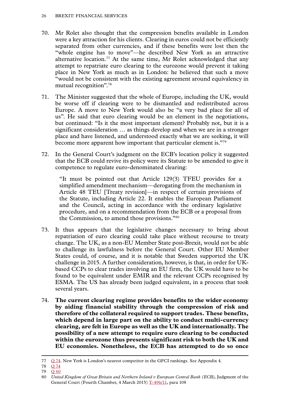- 70. Mr Rolet also thought that the compression benefits available in London were a key attraction for his clients. Clearing in euros could not be efficiently separated from other currencies, and if these benefits were lost then the "whole engine has to move"—he described New York as an attractive alternative location.<sup>77</sup> At the same time, Mr Rolet acknowledged that any attempt to repatriate euro clearing to the eurozone would prevent it taking place in New York as much as in London: he believed that such a move "would not be consistent with the existing agreement around equivalency in mutual recognition".78
- 71. The Minister suggested that the whole of Europe, including the UK, would be worse off if clearing were to be dismantled and redistributed across Europe. A move to New York would also be "a very bad place for all of us". He said that euro clearing would be an element in the negotiations, but continued: "Is it the most important element? Probably not, but it is a significant consideration … as things develop and when we are in a stronger place and have listened, and understood exactly what we are seeking, it will become more apparent how important that particular element is."79
- 72. In the General Court's judgment on the ECB's location policy it suggested that the ECB could revive its policy were its Statute to be amended to give it competence to regulate euro-denominated clearing:

"It must be pointed out that Article 129(3) TFEU provides for a simplified amendment mechanism—derogating from the mechanism in Article 48 TEU [Treaty revision]—in respect of certain provisions of the Statute, including Article 22. It enables the European Parliament and the Council, acting in accordance with the ordinary legislative procedure, and on a recommendation from the ECB or a proposal from the Commission, to amend those provisions."80

- 73. It thus appears that the legislative changes necessary to bring about repatriation of euro clearing could take place without recourse to treaty change. The UK, as a non-EU Member State post-Brexit, would not be able to challenge its lawfulness before the General Court. Other EU Member States could, of course, and it is notable that Sweden supported the UK challenge in 2015. A further consideration, however, is that, in order for UKbased CCPs to clear trades involving an EU firm, the UK would have to be found to be equivalent under EMIR and the relevant CCPs recognised by ESMA. The US has already been judged equivalent, in a process that took several years.
- 74. **The current clearing regime provides benefits to the wider economy by aiding financial stability through the compression of risk and therefore of the collateral required to support trades. These benefits, which depend in large part on the ability to conduct multi-currency clearing, are felt in Europe as well as the UK and internationally. The possibility of a new attempt to require euro clearing to be conducted within the eurozone thus presents significant risk to both the UK and EU economies. Nonetheless, the ECB has attempted to do so once**

<sup>77</sup> Q [74](http://data.parliament.uk/writtenevidence/committeeevidence.svc/evidencedocument/eu-financial-affairs-subcommittee/brexit-financial-services/oral/42745.html). New York is London's nearest competitor in the GFCI rankings. See Appendix 4.

<sup>78</sup> Q [74](http://data.parliament.uk/writtenevidence/committeeevidence.svc/evidencedocument/eu-financial-affairs-subcommittee/brexit-financial-services/oral/42745.html)

<sup>79</sup> Q [60](http://data.parliament.uk/writtenevidence/committeeevidence.svc/evidencedocument/eu-financial-affairs-subcommittee/brexit-financial-services/oral/41565.html)

<sup>80</sup> *United Kingdom of Great Britain and Northern Ireland v European Central Bank (ECB)*, Judgment of the General Court (Fourth Chamber, 4 March 2015) [T-496/11,](http://curia.europa.eu/juris/liste.jsf?language=en&num=t-496/11&td=ALL) para 108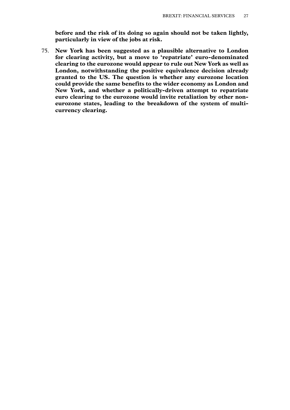**before and the risk of its doing so again should not be taken lightly, particularly in view of the jobs at risk.**

75. **New York has been suggested as a plausible alternative to London for clearing activity, but a move to 'repatriate' euro-denominated clearing to the eurozone would appear to rule out New York as well as London, notwithstanding the positive equivalence decision already granted to the US. The question is whether any eurozone location could provide the same benefits to the wider economy as London and New York, and whether a politically-driven attempt to repatriate euro clearing to the eurozone would invite retaliation by other noneurozone states, leading to the breakdown of the system of multicurrency clearing.**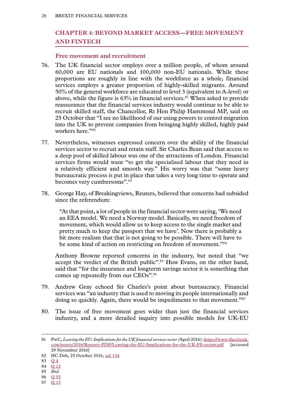### <span id="page-29-0"></span>**Chapter 4: BEYOND MARKET ACCESS—FREE MOVEMENT AND FINTECH**

#### **Free movement and recruitment**

- 76. The UK financial sector employs over a million people, of whom around 60,000 are EU nationals and 100,000 non-EU nationals. While these proportions are roughly in line with the workforce as a whole, financial services employs a greater proportion of highly-skilled migrants. Around 50% of the general workforce are educated to level 3 (equivalent to A-level) or above, while the figure is  $63\%$  in financial services.<sup>81</sup> When asked to provide reassurance that the financial services industry would continue to be able to recruit skilled staff, the Chancellor, Rt Hon Philip Hammond MP, said on 25 October that "I see no likelihood of our using powers to control migration into the UK to prevent companies from bringing highly skilled, highly paid workers here."82
- 77. Nevertheless, witnesses expressed concern over the ability of the financial services sector to recruit and retain staff. Sir Charles Bean said that access to a deep pool of skilled labour was one of the attractions of London. Financial services firms would want "to get the specialised labour that they need in a relatively efficient and smooth way." His worry was that "some heavy bureaucratic process is put in place that takes a very long time to operate and becomes very cumbersome".<sup>83</sup>
- 78. George Hay, of Breakingviews, Reuters, believed that concerns had subsided since the referendum:

"At that point, a lot of people in the financial sector were saying, 'We need an EEA model. We need a Norway model. Basically, we need freedom of movement, which would allow us to keep access to the single market and pretty much to keep the passport that we have'. Now there is probably a bit more realism that that is not going to be possible. There will have to be some kind of action on restricting on freedom of movement."<sup>84</sup>

Anthony Browne reported concerns in the industry, but noted that "we accept the verdict of the British public".<sup>85</sup> Huw Evans, on the other hand, said that "for the insurance and longterm savings sector it is something that comes up repeatedly from our CEOs".86

- 79. Andrew Gray echoed Sir Charles's point about bureaucracy. Financial services was "an industry that is used to moving its people internationally and doing so quickly. Again, there would be impediments to that movement."<sup>87</sup>
- 80. The issue of free movement goes wider than just the financial services industry, and a more detailed inquiry into possible models for UK-EU

- 86 Q [53](http://data.parliament.uk/writtenevidence/committeeevidence.svc/evidencedocument/eu-financial-affairs-subcommittee/brexit-financial-services/oral/41228.html)
- 87 Q [13](http://data.parliament.uk/writtenevidence/committeeevidence.svc/evidencedocument/eu-financial-affairs-subcommittee/brexit-financial-services/oral/37867.html)

<sup>81</sup> PwC, *Leaving the EU: Implications for the UK financial services sector (*April 2016): [https://www.thecityuk.](https://www.thecityuk.com/assets/2016/Reports-PDF/Leaving-the-EU-Implications-for-the-UK-FS-sector.pdf) [com/assets/2016/Reports-PDF/Leaving-the-EU-Implications-for-the-UK-FS-sector.pdf](https://www.thecityuk.com/assets/2016/Reports-PDF/Leaving-the-EU-Implications-for-the-UK-FS-sector.pdf) [accessed 29 November 2016]

<sup>82</sup> HC Deb, 25 October 2016, [col 134](https://hansard.parliament.uk/commons/2016-10-25/debates/676355D1-35E4-4E62-B4A5-75FE6CC92737/EconomicGrowth)

<sup>83</sup> [Q](http://data.parliament.uk/writtenevidence/committeeevidence.svc/evidencedocument/eu-financial-affairs-subcommittee/brexit-financial-services/oral/37866.html) 4

<sup>84</sup> Q [13](http://data.parliament.uk/writtenevidence/committeeevidence.svc/evidencedocument/eu-financial-affairs-subcommittee/brexit-financial-services/oral/37867.html)

<sup>85</sup> *Ibid.*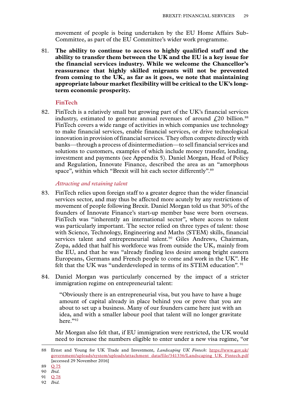<span id="page-30-0"></span>movement of people is being undertaken by the EU Home Affairs Sub-Committee, as part of the EU Committee's wider work programme.

81. **The ability to continue to access to highly qualified staff and the ability to transfer them between the UK and the EU is a key issue for the financial services industry. While we welcome the Chancellor's reassurance that highly skilled migrants will not be prevented from coming to the UK, as far as it goes, we note that maintaining appropriate labour market flexibility will be critical to the UK's longterm economic prosperity.**

#### **FinTech**

82. FinTech is a relatively small but growing part of the UK's financial services industry, estimated to generate annual revenues of around  $f$ , 20 billion.<sup>88</sup> FinTech covers a wide range of activities in which companies use technology to make financial services, enable financial services, or drive technological innovation in provision of financial services. They often compete directly with banks—through a process of disintermediation—to sell financial services and solutions to customers, examples of which include money transfer, lending, investment and payments (see Appendix 5). Daniel Morgan, Head of Policy and Regulation, Innovate Finance, described the area as an "amorphous space", within which "Brexit will hit each sector differently".<sup>89</sup>

#### *Attracting and retaining talent*

- 83. FinTech relies upon foreign staff to a greater degree than the wider financial services sector, and may thus be affected more acutely by any restrictions of movement of people following Brexit. Daniel Morgan told us that 30% of the founders of Innovate Finance's start-up member base were born overseas. FinTech was "inherently an international sector", where access to talent was particularly important. The sector relied on three types of talent: those with Science, Technology, Engineering and Maths (STEM) skills, financial services talent and entrepreneurial talent.<sup>90</sup> Giles Andrews, Chairman, Zopa, added that half his workforce was from outside the UK, mainly from the EU, and that he was "already finding less desire among bright eastern Europeans, Germans and French people to come and work in the UK". He felt that the UK was "underdeveloped in terms of its STEM education". <sup>91</sup>
- 84. Daniel Morgan was particularly concerned by the impact of a stricter immigration regime on entrepreneurial talent:

"Obviously there is an entrepreneurial visa, but you have to have a huge amount of capital already in place behind you or prove that you are about to set up a business. Many of our founders came here just with an idea, and with a smaller labour pool that talent will no longer gravitate here."92

Mr Morgan also felt that, if EU immigration were restricted, the UK would need to increase the numbers eligible to enter under a new visa regime, "or

92 *Ibid.*

<sup>88</sup> Ernst and Young for UK Trade and Investment, *Landscaping UK Fintech*: [https://www.gov.uk/](https://www.gov.uk/government/uploads/system/uploads/attachment_data/file/341336/Landscaping_UK_Fintech.pdf) [government/uploads/system/uploads/attachment\\_data/file/341336/Landscaping\\_UK\\_Fintech.pdf](https://www.gov.uk/government/uploads/system/uploads/attachment_data/file/341336/Landscaping_UK_Fintech.pdf) [accessed 29 November 2016]

<sup>89</sup> Q [75](http://data.parliament.uk/writtenevidence/committeeevidence.svc/evidencedocument/eu-financial-affairs-subcommittee/brexit-financial-services/oral/42747.html)

<sup>90</sup> *Ibid.*

<sup>91</sup> Q [78](http://data.parliament.uk/writtenevidence/committeeevidence.svc/evidencedocument/eu-financial-affairs-subcommittee/brexit-financial-services/oral/42747.html)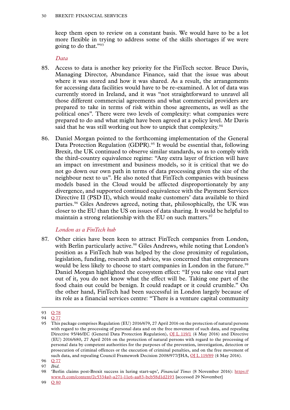<span id="page-31-0"></span>keep them open to review on a constant basis. We would have to be a lot more flexible in trying to address some of the skills shortages if we were going to do that."93

#### *Data*

- 85. Access to data is another key priority for the FinTech sector. Bruce Davis, Managing Director, Abundance Finance, said that the issue was about where it was stored and how it was shared. As a result, the arrangements for accessing data facilities would have to be re-examined. A lot of data was currently stored in Ireland, and it was "not straightforward to unravel all those different commercial agreements and what commercial providers are prepared to take in terms of risk within those agreements, as well as the political ones". There were two levels of complexity: what companies were prepared to do and what might have been agreed at a policy level. Mr Davis said that he was still working out how to unpick that complexity.<sup>94</sup>
- 86. Daniel Morgan pointed to the forthcoming implementation of the General Data Protection Regulation (GDPR).<sup>95</sup> It would be essential that, following Brexit, the UK continued to observe similar standards, so as to comply with the third-country equivalence regime: "Any extra layer of friction will have an impact on investment and business models, so it is critical that we do not go down our own path in terms of data processing given the size of the neighbour next to us". He also noted that FinTech companies with business models based in the Cloud would be affected disproportionately by any divergence, and supported continued equivalence with the Payment Services Directive II (PSD II), which would make customers' data available to third parties.96 Giles Andrews agreed, noting that, philosophically, the UK was closer to the EU than the US on issues of data sharing. It would be helpful to maintain a strong relationship with the EU on such matters. $97$

#### *London as a FinTech hub*

87. Other cities have been keen to attract FinTech companies from London, with Berlin particularly active.<sup>98</sup> Giles Andrews, while noting that London's position as a FinTech hub was helped by the close proximity of regulation, legislation, funding, research and advice, was concerned that entrepreneurs would be less likely to choose to start companies in London in the future.<sup>99</sup> Daniel Morgan highlighted the ecosystem effect: "If you take one vital part out of it, you do not know what the effect will be. Taking one part of the food chain out could be benign. It could readapt or it could crumble." On the other hand, FinTech had been successful in London largely because of its role as a financial services centre: "There is a venture capital community

<sup>93</sup> Q [78](http://data.parliament.uk/writtenevidence/committeeevidence.svc/evidencedocument/eu-financial-affairs-subcommittee/brexit-financial-services/oral/42747.html)

<sup>94</sup> Q [77](http://data.parliament.uk/writtenevidence/committeeevidence.svc/evidencedocument/eu-financial-affairs-subcommittee/brexit-financial-services/oral/42747.html)

<sup>95</sup> This package comprises Regulation (EU) 2016/679, 27 April 2016 on the protection of natural persons with regard to the processing of personal data and on the free movement of such data, and repealing Directive 95/46/EC (General Data Protection Regulation), [OJ L 119/1](http://eur-lex.europa.eu/legal-content/EN/TXT/?uri=uriserv:OJ.L_.2016.119.01.0001.01.ENG&toc=OJ:L:2016:119:TOC) (4 May 2016) and Directive (EU) 2016/680, 27 April 2016 on the protection of natural persons with regard to the processing of personal data by competent authorities for the purposes of the prevention, investigation, detection or prosecution of criminal offences or the execution of criminal penalties, and on the free movement of such data, and repealing Council Framework Decision 2008/977/JHA, [OJ L 119/89](http://eur-lex.europa.eu/legal-content/EN/TXT/?uri=uriserv:OJ.L_.2016.119.01.0089.01.ENG&toc=OJ:L:2016:119:TOC) (4 May 2016).

<sup>96</sup> Q [77](http://data.parliament.uk/writtenevidence/committeeevidence.svc/evidencedocument/eu-financial-affairs-subcommittee/brexit-financial-services/oral/42747.html)

<sup>97</sup> *Ibid.*

<sup>98</sup> 'Berlin claims post-Brexit success in luring start-ups', *Financial Times* (8 November 2016): [https://](https://www.ft.com/content/2c5334a0-a271-11e6-aa83-bcb58d1d2193) [www.ft.com/content/2c5334a0-a271-11e6-aa83-bcb58d1d2193](https://www.ft.com/content/2c5334a0-a271-11e6-aa83-bcb58d1d2193) [accessed 29 November]

<sup>99</sup> Q [80](http://data.parliament.uk/writtenevidence/committeeevidence.svc/evidencedocument/eu-financial-affairs-subcommittee/brexit-financial-services/oral/42747.html)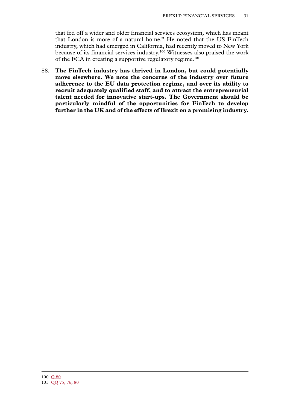that fed off a wider and older financial services ecosystem, which has meant that London is more of a natural home." He noted that the US FinTech industry, which had emerged in California, had recently moved to New York because of its financial services industry.100 Witnesses also praised the work of the FCA in creating a supportive regulatory regime.<sup>101</sup>

88. **The FinTech industry has thrived in London, but could potentially move elsewhere. We note the concerns of the industry over future adherence to the EU data protection regime, and over its ability to recruit adequately qualified staff, and to attract the entrepreneurial talent needed for innovative start-ups. The Government should be particularly mindful of the opportunities for FinTech to develop further in the UK and of the effects of Brexit on a promising industry.**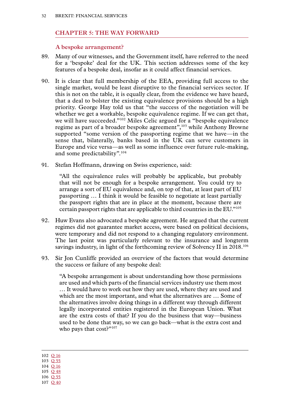#### <span id="page-33-0"></span>**Chapter 5: THE WAY FORWARD**

**A bespoke arrangement?**

- 89. Many of our witnesses, and the Government itself, have referred to the need for a 'bespoke' deal for the UK. This section addresses some of the key features of a bespoke deal, insofar as it could affect financial services.
- 90. It is clear that full membership of the EEA, providing full access to the single market, would be least disruptive to the financial services sector. If this is not on the table, it is equally clear, from the evidence we have heard, that a deal to bolster the existing equivalence provisions should be a high priority. George Hay told us that "the success of the negotiation will be whether we get a workable, bespoke equivalence regime. If we can get that, we will have succeeded."102 Miles Celic argued for a "bespoke equivalence regime as part of a broader bespoke agreement",<sup>103</sup> while Anthony Browne supported "some version of the passporting regime that we have—in the sense that, bilaterally, banks based in the UK can serve customers in Europe and vice versa—as well as some influence over future rule-making, and some predictability".104
- 91. Stefan Hoffmann, drawing on Swiss experience, said:

"All the equivalence rules will probably be applicable, but probably that will not be enough for a bespoke arrangement. You could try to arrange a sort of EU equivalence and, on top of that, at least part of EU passporting … I think it would be feasible to negotiate at least partially the passport rights that are in place at the moment, because there are certain passport rights that are applicable to third countries in the EU."105

- 92. Huw Evans also advocated a bespoke agreement. He argued that the current regimes did not guarantee market access, were based on political decisions, were temporary and did not respond to a changing regulatory environment. The last point was particularly relevant to the insurance and longterm savings industry, in light of the forthcoming review of Solvency II in 2018.<sup>106</sup>
- 93. Sir Jon Cunliffe provided an overview of the factors that would determine the success or failure of any bespoke deal:

"A bespoke arrangement is about understanding how those permissions are used and which parts of the financial services industry use them most … It would have to work out how they are used, where they are used and which are the most important, and what the alternatives are … Some of the alternatives involve doing things in a different way through different legally incorporated entities registered in the European Union. What are the extra costs of that? If you do the business that way—business used to be done that way, so we can go back—what is the extra cost and who pays that cost?"<sup>107</sup>

102 Q [16](http://data.parliament.uk/writtenevidence/committeeevidence.svc/evidencedocument/eu-financial-affairs-subcommittee/brexit-financial-services/oral/37867.html)

- 103 Q [55](http://data.parliament.uk/writtenevidence/committeeevidence.svc/evidencedocument/eu-financial-affairs-subcommittee/brexit-financial-services/oral/41228.html)
- 104 Q [16](http://data.parliament.uk/writtenevidence/committeeevidence.svc/evidencedocument/eu-financial-affairs-subcommittee/brexit-financial-services/oral/37867.html)
- 105 Q [48](http://data.parliament.uk/writtenevidence/committeeevidence.svc/evidencedocument/eu-financial-affairs-subcommittee/brexit-financial-services/oral/41228.html) 106 Q [55](http://data.parliament.uk/writtenevidence/committeeevidence.svc/evidencedocument/eu-financial-affairs-subcommittee/brexit-financial-services/oral/41228.html)
- 107 Q [40](http://data.parliament.uk/writtenevidence/committeeevidence.svc/evidencedocument/eu-financial-affairs-subcommittee/brexit-financial-services/oral/41227.html)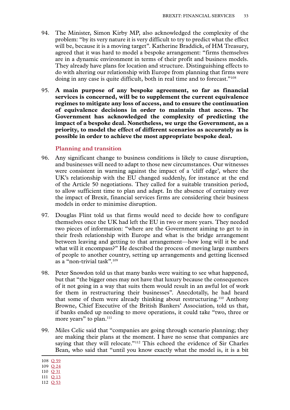- <span id="page-34-0"></span>94. The Minister, Simon Kirby MP, also acknowledged the complexity of the problem: "by its very nature it is very difficult to try to predict what the effect will be, because it is a moving target". Katherine Braddick, of HM Treasury, agreed that it was hard to model a bespoke arrangement: "firms themselves are in a dynamic environment in terms of their profit and business models. They already have plans for location and structure. Distinguishing effects to do with altering our relationship with Europe from planning that firms were doing in any case is quite difficult, both in real time and to forecast."108
- 95. **A main purpose of any bespoke agreement, so far as financial services is concerned, will be to supplement the current equivalence regimes to mitigate any loss of access, and to ensure the continuation of equivalence decisions in order to maintain that access. The Government has acknowledged the complexity of predicting the impact of a bespoke deal. Nonetheless, we urge the Government, as a priority, to model the effect of different scenarios as accurately as is possible in order to achieve the most appropriate bespoke deal.**

#### **Planning and transition**

- 96. Any significant change to business conditions is likely to cause disruption, and businesses will need to adapt to those new circumstances. Our witnesses were consistent in warning against the impact of a 'cliff edge', where the UK's relationship with the EU changed suddenly, for instance at the end of the Article 50 negotiations. They called for a suitable transition period, to allow sufficient time to plan and adapt. In the absence of certainty over the impact of Brexit, financial services firms are considering their business models in order to minimise disruption.
- 97. Douglas Flint told us that firms would need to decide how to configure themselves once the UK had left the EU in two or more years. They needed two pieces of information: "where are the Government aiming to get to in their fresh relationship with Europe and what is the bridge arrangement between leaving and getting to that arrangement—how long will it be and what will it encompass?" He described the process of moving large numbers of people to another country, setting up arrangements and getting licensed as a "non-trivial task".109
- 98. Peter Snowdon told us that many banks were waiting to see what happened, but that "the bigger ones may not have that luxury because the consequences of it not going in a way that suits them would result in an awful lot of work for them in restructuring their businesses". Anecdotally, he had heard that some of them were already thinking about restructuring.110 Anthony Browne, Chief Executive of the British Bankers' Association, told us that, if banks ended up needing to move operations, it could take "two, three or more years" to plan.<sup>111</sup>
- 99. Miles Celic said that "companies are going through scenario planning; they are making their plans at the moment. I have no sense that companies are saying that they will relocate."<sup>112</sup> This echoed the evidence of Sir Charles Bean, who said that "until you know exactly what the model is, it is a bit

<sup>108</sup> Q [59](http://data.parliament.uk/writtenevidence/committeeevidence.svc/evidencedocument/eu-financial-affairs-subcommittee/brexit-financial-services/oral/41565.html)

<sup>109</sup> Q [24](http://data.parliament.uk/writtenevidence/committeeevidence.svc/evidencedocument/eu-financial-affairs-subcommittee/brexit-financial-services/oral/38487.html)

<sup>110</sup> Q [31](http://data.parliament.uk/writtenevidence/committeeevidence.svc/evidencedocument/eu-financial-affairs-subcommittee/brexit-financial-services/oral/38487.html)

<sup>111</sup> Q [13](http://data.parliament.uk/writtenevidence/committeeevidence.svc/evidencedocument/eu-financial-affairs-subcommittee/brexit-financial-services/oral/37867.html)

<sup>112</sup> Q [53](http://data.parliament.uk/writtenevidence/committeeevidence.svc/evidencedocument/eu-financial-affairs-subcommittee/brexit-financial-services/oral/41228.html)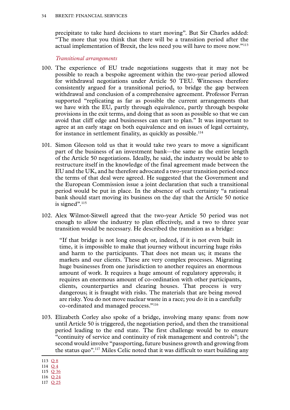<span id="page-35-0"></span>precipitate to take hard decisions to start moving". But Sir Charles added: "The more that you think that there will be a transition period after the actual implementation of Brexit, the less need you will have to move now."113

#### *Transitional arrangements*

- 100. The experience of EU trade negotiations suggests that it may not be possible to reach a bespoke agreement within the two-year period allowed for withdrawal negotiations under Article 50 TEU. Witnesses therefore consistently argued for a transitional period, to bridge the gap between withdrawal and conclusion of a comprehensive agreement. Professor Ferran supported "replicating as far as possible the current arrangements that we have with the EU, partly through equivalence, partly through bespoke provisions in the exit terms, and doing that as soon as possible so that we can avoid that cliff edge and businesses can start to plan." It was important to agree at an early stage on both equivalence and on issues of legal certainty, for instance in settlement finality, as quickly as possible.<sup>114</sup>
- 101. Simon Gleeson told us that it would take two years to move a significant part of the business of an investment bank—the same as the entire length of the Article 50 negotiations. Ideally, he said, the industry would be able to restructure itself in the knowledge of the final agreement made between the EU and the UK, and he therefore advocated a two-year transition period once the terms of that deal were agreed. He suggested that the Government and the European Commission issue a joint declaration that such a transitional period would be put in place. In the absence of such certainty "a rational bank should start moving its business on the day that the Article 50 notice is signed".<sup>115</sup>
- 102. Alex Wilmot-Sitwell agreed that the two-year Article 50 period was not enough to allow the industry to plan effectively, and a two to three year transition would be necessary. He described the transition as a bridge:

"If that bridge is not long enough or, indeed, if it is not even built in time, it is impossible to make that journey without incurring huge risks and harm to the participants. That does not mean us; it means the markets and our clients. These are very complex processes. Migrating huge businesses from one jurisdiction to another requires an enormous amount of work. It requires a huge amount of regulatory approvals; it requires an enormous amount of co-ordination with other participants, clients, counterparties and clearing houses. That process is very dangerous; it is fraught with risks. The materials that are being moved are risky. You do not move nuclear waste in a race; you do it in a carefully co-ordinated and managed process."116

103. Elizabeth Corley also spoke of a bridge, involving many spans: from now until Article 50 is triggered, the negotiation period, and then the transitional period leading to the end state. The first challenge would be to ensure "continuity of service and continuity of risk management and controls"; the second would involve "passporting, future business growth and growing from the status quo".117 Miles Celic noted that it was difficult to start building any

<sup>113</sup> O 8

<sup>114</sup> [Q](http://data.parliament.uk/writtenevidence/committeeevidence.svc/evidencedocument/eu-financial-affairs-subcommittee/brexit-financial-services/oral/37866.html) 4

<sup>115</sup> Q [36](http://data.parliament.uk/writtenevidence/committeeevidence.svc/evidencedocument/eu-financial-affairs-subcommittee/brexit-financial-services/oral/38488.html)

<sup>116</sup> Q [24](http://data.parliament.uk/writtenevidence/committeeevidence.svc/evidencedocument/eu-financial-affairs-subcommittee/brexit-financial-services/oral/38487.html)

<sup>117</sup> Q [25](http://data.parliament.uk/writtenevidence/committeeevidence.svc/evidencedocument/eu-financial-affairs-subcommittee/brexit-financial-services/oral/38487.html)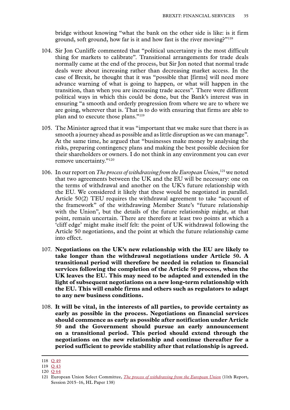bridge without knowing "what the bank on the other side is like: is it firm ground, soft ground, how far is it and how fast is the river moving?"118

- 104. Sir Jon Cunliffe commented that "political uncertainty is the most difficult thing for markets to calibrate". Transitional arrangements for trade deals normally came at the end of the process, but Sir Jon noted that normal trade deals were about increasing rather than decreasing market access. In the case of Brexit, he thought that it was "possible that [firms] will need more advance warning of what is going to happen, or what will happen in the transition, than when you are increasing trade access". There were different political ways in which this could be done, but the Bank's interest was in ensuring "a smooth and orderly progression from where we are to where we are going, wherever that is. That is to do with ensuring that firms are able to plan and to execute those plans."119
- 105. The Minister agreed that it was "important that we make sure that there is as smooth a journey ahead as possible and as little disruption as we can manage". At the same time, he argued that "businesses make money by analysing the risks, preparing contingency plans and making the best possible decision for their shareholders or owners. I do not think in any environment you can ever remove uncertainty."<sup>120</sup>
- 106. In our report on *The process of withdrawing from the European Union*,<sup>121</sup> we noted that two agreements between the UK and the EU will be necessary: one on the terms of withdrawal and another on the UK's future relationship with the EU. We considered it likely that these would be negotiated in parallel. Article 50(2) TEU requires the withdrawal agreement to take "account of the framework" of the withdrawing Member State's "future relationship with the Union", but the details of the future relationship might, at that point, remain uncertain. There are therefore at least two points at which a 'cliff edge' might make itself felt: the point of UK withdrawal following the Article 50 negotiations, and the point at which the future relationship came into effect.
- 107. **Negotiations on the UK's new relationship with the EU are likely to take longer than the withdrawal negotiations under Article 50. A transitional period will therefore be needed in relation to financial services following the completion of the Article 50 process, when the UK leaves the EU. This may need to be adapted and extended in the light of subsequent negotiations on a new long-term relationship with the EU. This will enable firms and others such as regulators to adapt to any new business conditions.**
- 108. **It will be vital, in the interests of all parties, to provide certainty as early as possible in the process. Negotiations on financial services should commence as early as possible after notification under Article 50 and the Government should pursue an early announcement on a transitional period. This period should extend through the negotiations on the new relationship and continue thereafter for a period sufficient to provide stability after that relationship is agreed.**

<sup>118</sup> O [49](http://data.parliament.uk/writtenevidence/committeeevidence.svc/evidencedocument/eu-financial-affairs-subcommittee/brexit-financial-services/oral/41228.html)

<sup>119</sup> [Q 43](http://data.parliament.uk/writtenevidence/committeeevidence.svc/evidencedocument/eu-financial-affairs-subcommittee/brexit-financial-services/oral/41227.html)

<sup>120</sup> Q [64](http://data.parliament.uk/writtenevidence/committeeevidence.svc/evidencedocument/eu-financial-affairs-subcommittee/brexit-financial-services/oral/41565.html)

<sup>121</sup> European Union Select Committee, *[The process of withdrawing from the European Union](http://www.publications.parliament.uk/pa/ld201516/ldselect/ldeucom/138/13802.htm)* (11th Report, Session 2015–16, HL Paper 138)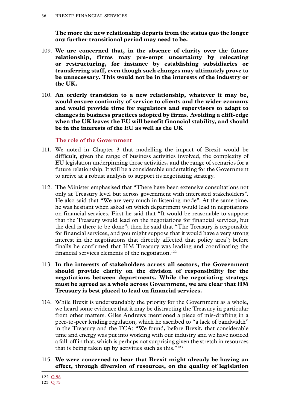<span id="page-37-0"></span>**The more the new relationship departs from the status quo the longer any further transitional period may need to be.**

- 109. **We are concerned that, in the absence of clarity over the future relationship, firms may pre-empt uncertainty by relocating or restructuring, for instance by establishing subsidiaries or transferring staff, even though such changes may ultimately prove to be unnecessary. This would not be in the interests of the industry or the UK.**
- 110. **An orderly transition to a new relationship, whatever it may be, would ensure continuity of service to clients and the wider economy and would provide time for regulators and supervisors to adapt to changes in business practices adopted by firms. Avoiding a cliff-edge when the UK leaves the EU will benefit financial stability, and should be in the interests of the EU as well as the UK**

**The role of the Government**

- 111. We noted in Chapter 3 that modelling the impact of Brexit would be difficult, given the range of business activities involved, the complexity of EU legislation underpinning those activities, and the range of scenarios for a future relationship. It will be a considerable undertaking for the Government to arrive at a robust analysis to support its negotiating strategy.
- 112. The Minister emphasised that "There have been extensive consultations not only at Treasury level but across government with interested stakeholders". He also said that "We are very much in listening mode". At the same time, he was hesitant when asked on which department would lead in negotiations on financial services. First he said that "It would be reasonable to suppose that the Treasury would lead on the negotiations for financial services, but the deal is there to be done"; then he said that "The Treasury is responsible for financial services, and you might suppose that it would have a very strong interest in the negotiations that directly affected that policy area"; before finally he confirmed that HM Treasury was leading and coordinating the financial services elements of the negotiation.<sup>122</sup>
- 113. **In the interests of stakeholders across all sectors, the Government should provide clarity on the division of responsibility for the negotiations between departments. While the negotiating strategy must be agreed as a whole across Government, we are clear that HM Treasury is best placed to lead on financial services.**
- 114. While Brexit is understandably the priority for the Government as a whole, we heard some evidence that it may be distracting the Treasury in particular from other matters. Giles Andrews mentioned a piece of mis-drafting in a peer-to-peer lending regulation, which he ascribed to "a lack of bandwidth" in the Treasury and the FCA: "We found, before Brexit, that considerable time and energy was put into working with our industry and we have noticed a fall-off in that, which is perhaps not surprising given the stretch in resources that is being taken up by activities such as this."123
- 115. **We were concerned to hear that Brexit might already be having an effect, through diversion of resources, on the quality of legislation**

<sup>122</sup> Q [58](http://data.parliament.uk/writtenevidence/committeeevidence.svc/evidencedocument/eu-financial-affairs-subcommittee/brexit-financial-services/oral/41565.html)

<sup>123</sup> Q [75](http://data.parliament.uk/writtenevidence/committeeevidence.svc/evidencedocument/eu-financial-affairs-subcommittee/brexit-financial-services/oral/42747.html)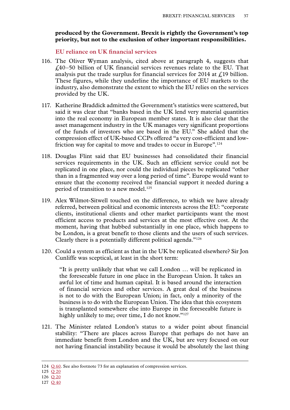#### <span id="page-38-0"></span>**produced by the Government. Brexit is rightly the Government's top priority, but not to the exclusion of other important responsibilities.**

#### **EU reliance on UK financial services**

- 116. The Oliver Wyman analysis, cited above at paragraph 4, suggests that £40–50 billion of UK financial services revenues relate to the EU. That analysis put the trade surplus for financial services for 2014 at  $\ell$  19 billion. These figures, while they underline the importance of EU markets to the industry, also demonstrate the extent to which the EU relies on the services provided by the UK.
- 117. Katherine Braddick admitted the Government's statistics were scattered, but said it was clear that "banks based in the UK lend very material quantities into the real economy in European member states. It is also clear that the asset management industry in the UK manages very significant proportions of the funds of investors who are based in the EU." She added that the compression effect of UK-based CCPs offered "a very cost-efficient and lowfriction way for capital to move and trades to occur in Europe".<sup>124</sup>
- 118. Douglas Flint said that EU businesses had consolidated their financial services requirements in the UK. Such an efficient service could not be replicated in one place, nor could the individual pieces be replicated "other than in a fragmented way over a long period of time". Europe would want to ensure that the economy received the financial support it needed during a period of transition to a new model.<sup>125</sup>
- 119. Alex Wilmot-Sitwell touched on the difference, to which we have already referred, between political and economic interests across the EU: "corporate clients, institutional clients and other market participants want the most efficient access to products and services at the most effective cost. At the moment, having that hubbed substantially in one place, which happens to be London, is a great benefit to those clients and the users of such services. Clearly there is a potentially different political agenda."126
- 120. Could a system as efficient as that in the UK be replicated elsewhere? Sir Jon Cunliffe was sceptical, at least in the short term:

"It is pretty unlikely that what we call London … will be replicated in the foreseeable future in one place in the European Union. It takes an awful lot of time and human capital. It is based around the interaction of financial services and other services. A great deal of the business is not to do with the European Union; in fact, only a minority of the business is to do with the European Union. The idea that this ecosystem is transplanted somewhere else into Europe in the foreseeable future is highly unlikely to me; over time, I do not know."<sup>127</sup>

121. The Minister related London's status to a wider point about financial stability: "There are places across Europe that perhaps do not have an immediate benefit from London and the UK, but are very focused on our not having financial instability because it would be absolutely the last thing

<sup>124</sup> Q [60.](http://data.parliament.uk/writtenevidence/committeeevidence.svc/evidencedocument/eu-financial-affairs-subcommittee/brexit-financial-services/oral/41565.html) See also footnote 73 for an explanation of compression services.

<sup>125</sup> Q [20](http://data.parliament.uk/writtenevidence/committeeevidence.svc/evidencedocument/eu-financial-affairs-subcommittee/brexit-financial-services/oral/38487.html)

<sup>126</sup> Q [20](http://data.parliament.uk/writtenevidence/committeeevidence.svc/evidencedocument/eu-financial-affairs-subcommittee/brexit-financial-services/oral/38487.html)

<sup>127</sup> Q [40](http://data.parliament.uk/writtenevidence/committeeevidence.svc/evidencedocument/eu-financial-affairs-subcommittee/brexit-financial-services/oral/41227.html)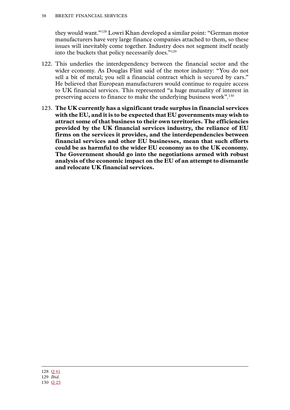they would want."128 Lowri Khan developed a similar point: "German motor manufacturers have very large finance companies attached to them, so these issues will inevitably come together. Industry does not segment itself neatly into the buckets that policy necessarily does."129

- 122. This underlies the interdependency between the financial sector and the wider economy. As Douglas Flint said of the motor industry: "You do not sell a bit of metal; you sell a financial contract which is secured by cars." He believed that European manufacturers would continue to require access to UK financial services. This represented "a huge mutuality of interest in preserving access to finance to make the underlying business work".130
- 123. **The UK currently has a significant trade surplus in financial services with the EU, and it is to be expected that EU governments may wish to attract some of that business to their own territories. The efficiencies provided by the UK financial services industry, the reliance of EU firms on the services it provides, and the interdependencies between financial services and other EU businesses, mean that such efforts could be as harmful to the wider EU economy as to the UK economy. The Government should go into the negotiations armed with robust analysis of the economic impact on the EU of an attempt to dismantle and relocate UK financial services.**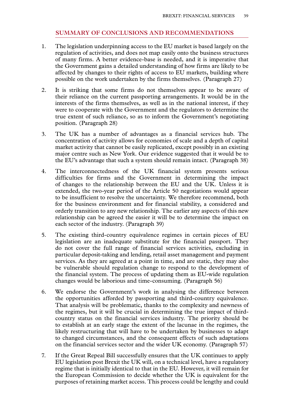#### **SUMMARY OF CONCLUSIONS AND RECOMMENDATIONS**

- <span id="page-40-0"></span>1. The legislation underpinning access to the EU market is based largely on the regulation of activities, and does not map easily onto the business structures of many firms. A better evidence-base is needed, and it is imperative that the Government gains a detailed understanding of how firms are likely to be affected by changes to their rights of access to EU markets, building where possible on the work undertaken by the firms themselves. (Paragraph 27)
- 2. It is striking that some firms do not themselves appear to be aware of their reliance on the current passporting arrangements. It would be in the interests of the firms themselves, as well as in the national interest, if they were to cooperate with the Government and the regulators to determine the true extent of such reliance, so as to inform the Government's negotiating position. (Paragraph 28)
- 3. The UK has a number of advantages as a financial services hub. The concentration of activity allows for economies of scale and a depth of capital market activity that cannot be easily replicated, except possibly in an existing major centre such as New York. Our evidence suggested that it would be to the EU's advantage that such a system should remain intact. (Paragraph 38)
- 4. The interconnectedness of the UK financial system presents serious difficulties for firms and the Government in determining the impact of changes to the relationship between the EU and the UK. Unless it is extended, the two-year period of the Article 50 negotiations would appear to be insufficient to resolve the uncertainty. We therefore recommend, both for the business environment and for financial stability, a considered and orderly transition to any new relationship. The earlier any aspects of this new relationship can be agreed the easier it will be to determine the impact on each sector of the industry. (Paragraph 39)
- 5. The existing third-country equivalence regimes in certain pieces of EU legislation are an inadequate substitute for the financial passport. They do not cover the full range of financial services activities, excluding in particular deposit-taking and lending, retail asset management and payment services. As they are agreed at a point in time, and are static, they may also be vulnerable should regulation change to respond to the development of the financial system. The process of updating them as EU-wide regulation changes would be laborious and time-consuming. (Paragraph 56)
- 6. We endorse the Government's work in analysing the difference between the opportunities afforded by passporting and third-country equivalence. That analysis will be problematic, thanks to the complexity and newness of the regimes, but it will be crucial in determining the true impact of thirdcountry status on the financial services industry. The priority should be to establish at an early stage the extent of the lacunae in the regimes, the likely restructuring that will have to be undertaken by businesses to adapt to changed circumstances, and the consequent effects of such adaptations on the financial services sector and the wider UK economy. (Paragraph 57)
- 7. If the Great Repeal Bill successfully ensures that the UK continues to apply EU legislation post Brexit the UK will, on a technical level, have a regulatory regime that is initially identical to that in the EU. However, it will remain for the European Commission to decide whether the UK is equivalent for the purposes of retaining market access. This process could be lengthy and could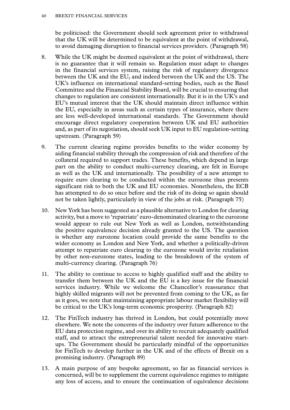#### 40 Brexit: financial services

be politicised: the Government should seek agreement prior to withdrawal that the UK will be determined to be equivalent at the point of withdrawal, to avoid damaging disruption to financial services providers. (Paragraph 58)

- 8. While the UK might be deemed equivalent at the point of withdrawal, there is no guarantee that it will remain so. Regulation must adapt to changes in the financial services system, raising the risk of regulatory divergence between the UK and the EU, and indeed between the UK and the US. The UK's influence on international standard-setting bodies, such as the Basel Committee and the Financial Stability Board, will be crucial to ensuring that changes to regulation are consistent internationally. But it is in the UK's and EU's mutual interest that the UK should maintain direct influence within the EU, especially in areas such as certain types of insurance, where there are less well-developed international standards. The Government should encourage direct regulatory cooperation between UK and EU authorities and, as part of its negotiation, should seek UK input to EU regulation-setting upstream. (Paragraph 59)
- 9. The current clearing regime provides benefits to the wider economy by aiding financial stability through the compression of risk and therefore of the collateral required to support trades. These benefits, which depend in large part on the ability to conduct multi-currency clearing, are felt in Europe as well as the UK and internationally. The possibility of a new attempt to require euro clearing to be conducted within the eurozone thus presents significant risk to both the UK and EU economies. Nonetheless, the ECB has attempted to do so once before and the risk of its doing so again should not be taken lightly, particularly in view of the jobs at risk. (Paragraph 75)
- 10. New York has been suggested as a plausible alternative to London for clearing activity, but a move to 'repatriate' euro-denominated clearing to the eurozone would appear to rule out New York as well as London, notwithstanding the positive equivalence decision already granted to the US. The question is whether any eurozone location could provide the same benefits to the wider economy as London and New York, and whether a politically-driven attempt to repatriate euro clearing to the eurozone would invite retaliation by other non-eurozone states, leading to the breakdown of the system of multi-currency clearing. (Paragraph 76)
- 11. The ability to continue to access to highly qualified staff and the ability to transfer them between the UK and the EU is a key issue for the financial services industry. While we welcome the Chancellor's reassurance that highly skilled migrants will not be prevented from coming to the UK, as far as it goes, we note that maintaining appropriate labour market flexibility will be critical to the UK's long-term economic prosperity. (Paragraph 82)
- 12. The FinTech industry has thrived in London, but could potentially move elsewhere. We note the concerns of the industry over future adherence to the EU data protection regime, and over its ability to recruit adequately qualified staff, and to attract the entrepreneurial talent needed for innovative startups. The Government should be particularly mindful of the opportunities for FinTech to develop further in the UK and of the effects of Brexit on a promising industry. (Paragraph 89)
- 13. A main purpose of any bespoke agreement, so far as financial services is concerned, will be to supplement the current equivalence regimes to mitigate any loss of access, and to ensure the continuation of equivalence decisions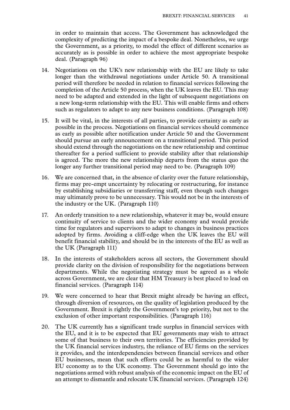in order to maintain that access. The Government has acknowledged the complexity of predicting the impact of a bespoke deal. Nonetheless, we urge the Government, as a priority, to model the effect of different scenarios as accurately as is possible in order to achieve the most appropriate bespoke deal. (Paragraph 96)

- 14. Negotiations on the UK's new relationship with the EU are likely to take longer than the withdrawal negotiations under Article 50. A transitional period will therefore be needed in relation to financial services following the completion of the Article 50 process, when the UK leaves the EU. This may need to be adapted and extended in the light of subsequent negotiations on a new long-term relationship with the EU. This will enable firms and others such as regulators to adapt to any new business conditions. (Paragraph 108)
- 15. It will be vital, in the interests of all parties, to provide certainty as early as possible in the process. Negotiations on financial services should commence as early as possible after notification under Article 50 and the Government should pursue an early announcement on a transitional period. This period should extend through the negotiations on the new relationship and continue thereafter for a period sufficient to provide stability after that relationship is agreed. The more the new relationship departs from the status quo the longer any further transitional period may need to be. (Paragraph 109)
- 16. We are concerned that, in the absence of clarity over the future relationship, firms may pre-empt uncertainty by relocating or restructuring, for instance by establishing subsidiaries or transferring staff, even though such changes may ultimately prove to be unnecessary. This would not be in the interests of the industry or the UK. (Paragraph 110)
- 17. An orderly transition to a new relationship, whatever it may be, would ensure continuity of service to clients and the wider economy and would provide time for regulators and supervisors to adapt to changes in business practices adopted by firms. Avoiding a cliff-edge when the UK leaves the EU will benefit financial stability, and should be in the interests of the EU as well as the UK (Paragraph 111)
- 18. In the interests of stakeholders across all sectors, the Government should provide clarity on the division of responsibility for the negotiations between departments. While the negotiating strategy must be agreed as a whole across Government, we are clear that HM Treasury is best placed to lead on financial services. (Paragraph 114)
- 19. We were concerned to hear that Brexit might already be having an effect, through diversion of resources, on the quality of legislation produced by the Government. Brexit is rightly the Government's top priority, but not to the exclusion of other important responsibilities. (Paragraph 116)
- 20. The UK currently has a significant trade surplus in financial services with the EU, and it is to be expected that EU governments may wish to attract some of that business to their own territories. The efficiencies provided by the UK financial services industry, the reliance of EU firms on the services it provides, and the interdependencies between financial services and other EU businesses, mean that such efforts could be as harmful to the wider EU economy as to the UK economy. The Government should go into the negotiations armed with robust analysis of the economic impact on the EU of an attempt to dismantle and relocate UK financial services. (Paragraph 124)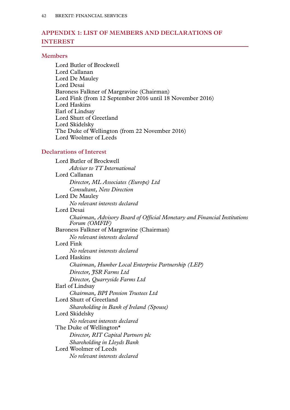#### <span id="page-43-0"></span>**Appendix 1: LIST OF MEMBERS AND DECLARATIONS OF INTEREST**

#### **Members**

Lord Butler of Brockwell Lord Callanan Lord De Mauley Lord Desai Baroness Falkner of Margravine (Chairman) Lord Fink (from 12 September 2016 until 18 November 2016) Lord Haskins Earl of Lindsay Lord Shutt of Greetland Lord Skidelsky The Duke of Wellington (from 22 November 2016) Lord Woolmer of Leeds

#### **Declarations of Interest**

Lord Butler of Brockwell *Adviser to TT International* Lord Callanan *Director, ML Associates (Europe) Ltd Consultant, New Direction* Lord De Mauley *No relevant interests declared* Lord Desai *Chairman, Advisory Board of Official Monetary and Financial Institutions Forum (OMFIF)* Baroness Falkner of Margravine (Chairman) *No relevant interests declared* Lord Fink *No relevant interests declared* Lord Haskins *Chairman, Humber Local Enterprise Partnership (LEP) Director, JSR Farms Ltd Director, Quarryside Farms Ltd* Earl of Lindsay *Chairman, BPI Pension Trustees Ltd* Lord Shutt of Greetland *Shareholding in Bank of Ireland (Spouse)* Lord Skidelsky *No relevant interests declared* The Duke of Wellington\* *Director, RIT Capital Partners plc Shareholding in Lloyds Bank* Lord Woolmer of Leeds *No relevant interests declared*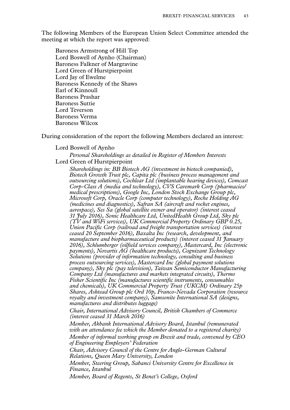The following Members of the European Union Select Committee attended the meeting at which the report was approved:

Baroness Armstrong of Hill Top Lord Boswell of Aynho (Chairman) Baroness Falkner of Margravine Lord Green of Hurstpierpoint Lord Jay of Ewelme Baroness Kennedy of the Shaws Earl of Kinnoull Baroness Prashar Baroness Suttie Lord Teverson Baroness Verma Baroness Wilcox

During consideration of the report the following Members declared an interest:

#### Lord Boswell of Aynho

*Personal Shareholdings as detailed in Register of Members Interests* Lord Green of Hurstpierpoint

*Shareholdings in: BB Biotech AG (investment in biotech companied), Biotech Growth Trust plc, Capita plc (business process management and outsourcing solutions), Cochlear Ltd (implantable hearing devices), Comcast Corp-Class A (media and technology), CVS Caremark Corp (pharmacies/ medical prescriptions), Google Inc, London Stock Exchange Group plc, Microsoft Corp, Oracle Corp (computer technology), Roche Holding AG (medicines and diagnostics), Safran SA (aircraft and rocket engines, aerospace), Ses Sa (global satellite owner and operator) (interest ceased 31 July 2016), Sonic Healthcare Ltd, UnitedHealth Group Ltd, Sky plc (TV and WiFi services), UK Commercial Property Ordinary GBP 0.25, Union Pacific Corp (railroad and freight transportation services) (interest ceased 20 September 2016), Baxalta Inc (research, development, and manufacture and biopharmaceutical products) (interest ceased 31 January 2016), Schlumberger (oilfield services company), Mastercard, Inc (electronic payments), Novartis AG (healthcare products), Cognizant Technology Solutions (provider of information technology, consulting and business process outsourcing services), Mastercard Inc (global payment solutions company), Sky plc (pay television), Taiwan Semiconductor Manufacturing Company Ltd (manufactures and markets integrated circuits), Thermo Fisher Scientific Inc (manufactures scientific instruments, consumables and chemicals), UK Commercial Property Trust (UKCM) Ordinary 25p Shares, Ashtead Group plc Ord 10p, Franco-Nevada Corporation (resource royalty and investment company), Samsonite International SA (designs, manufactures and distributes luggage)*

*Chair, International Advisory Council, British Chambers of Commerce (interest ceased 31 March 2016)*

*Member, Akbank International Advisory Board, Istanbul (remunerated with an attendance fee which the Member donated to a registered charity)*

*Member of informal working group on Brexit and trade, convened by CEO of Engineering Employers' Federation*

*Chair, Advisory Council of the Centre for Anglo-German Cultural Relations, Queen Mary University, London*

*Member, Steering Group, Sabanci University Centre for Excellence in Finance, Istanbul*

*Member, Board of Regents, St Benet's College, Oxford*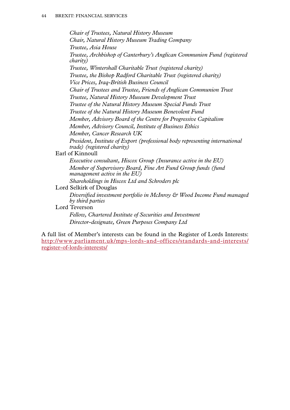*Chair of Trustees, Natural History Museum Chair, Natural History Museum Trading Company Trustee, Asia House Trustee, Archbishop of Canterbury's Anglican Communion Fund (registered charity) Trustee, Wintershall Charitable Trust (registered charity) Trustee, the Bishop Radford Charitable Trust (registered charity) Vice Prices, Iraq-British Business Council Chair of Trustees and Trustee, Friends of Anglican Communion Trust Trustee, Natural History Museum Development Trust Trustee of the Natural History Museum Special Funds Trust Trustee of the Natural History Museum Benevolent Fund Member, Advisory Board of the Centre for Progressive Capitalism Member, Advisory Council, Institute of Business Ethics Member, Cancer Research UK President, Institute of Export (professional body representing international trade) (registered charity)* Earl of Kinnoull *Executive consultant, Hiscox Group (Insurance active in the EU) Member of Supervisory Board, Fine Art Fund Group funds (fund management active in the EU) Shareholdings in Hiscox Ltd and Schroders plc* Lord Selkirk of Douglas *by third parties* Lord Teverson

*Diversified investment portfolio in McInroy & Wood Income Fund managed* 

*Fellow, Chartered Institute of Securities and Investment Director-designate, Green Purposes Company Ltd*

A full list of Member's interests can be found in the Register of Lords Interests: [http://www.parliament.uk/mps-lords-and-offices/standards-and-interests/](http://www.parliament.uk/mps-lords-and-offices/standards-and-interests/register-of-lords-interests) [register-of-lords-interests](http://www.parliament.uk/mps-lords-and-offices/standards-and-interests/register-of-lords-interests)/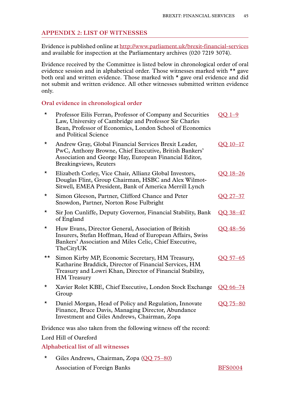#### <span id="page-46-0"></span>**Appendix 2: LIST OF WITNESSES**

Evidence is published online at [http://www.parliament.uk/brexit-financial-services](http://www.parliament.uk/brexit-financial-services ) and available for inspection at the Parliamentary archives (020 7219 3074).

Evidence received by the Committee is listed below in chronological order of oral evidence session and in alphabetical order. Those witnesses marked with \*\* gave both oral and written evidence. Those marked with \* gave oral evidence and did not submit and written evidence. All other witnesses submitted written evidence only.

#### **Oral evidence in chronological order**

| $^\star$ | Professor Eilís Ferran, Professor of Company and Securities<br>Law, University of Cambridge and Professor Sir Charles<br>Bean, Professor of Economics, London School of Economics<br>and Political Science | $OO$ 1-9   |
|----------|------------------------------------------------------------------------------------------------------------------------------------------------------------------------------------------------------------|------------|
| $\star$  | Andrew Gray, Global Financial Services Brexit Leader,<br>PwC, Anthony Browne, Chief Executive, British Bankers'<br>Association and George Hay, European Financial Editor,<br>Breakingviews, Reuters        | OO 10-17   |
| *        | Elizabeth Corley, Vice Chair, Allianz Global Investors,<br>Douglas Flint, Group Chairman, HSBC and Alex Wilmot-<br>Sitwell, EMEA President, Bank of America Merrill Lynch                                  | OO 18-26   |
| *        | Simon Gleeson, Partner, Clifford Chance and Peter<br>Snowdon, Partner, Norton Rose Fulbright                                                                                                               | OO 27-37   |
| *        | Sir Jon Cunliffe, Deputy Governor, Financial Stability, Bank<br>of England                                                                                                                                 | OO 38-47   |
| *        | Huw Evans, Director General, Association of British<br>Insurers, Stefan Hoffman, Head of European Affairs, Swiss<br>Bankers' Association and Miles Celic, Chief Executive,<br>TheCityUK                    | QQ 48-56   |
| ★★       | Simon Kirby MP, Economic Secretary, HM Treasury,<br>Katharine Braddick, Director of Financial Services, HM<br>Treasury and Lowri Khan, Director of Financial Stability,<br><b>HM</b> Treasury              | $OO$ 57-65 |
| $\star$  | Xavier Rolet KBE, Chief Executive, London Stock Exchange<br>Group                                                                                                                                          | QQ 66-74   |
| *        | Daniel Morgan, Head of Policy and Regulation, Innovate<br>Finance, Bruce Davis, Managing Director, Abundance<br>Investment and Giles Andrews, Chairman, Zopa                                               | OO 75-80   |
|          | Evidence was also taken from the following witness off the record:                                                                                                                                         |            |
|          | Lord Hill of Oareford                                                                                                                                                                                      |            |
|          | Alphabetical list of all witnesses                                                                                                                                                                         |            |

\* Giles Andrews, Chairman, Zopa [\(QQ 75–80\)](http://data.parliament.uk/writtenevidence/committeeevidence.svc/evidencedocument/eu-financial-affairs-subcommittee/brexit-financial-services/oral/42747.html) Association of Foreign Banks [BFS0004](http://data.parliament.uk/writtenevidence/committeeevidence.svc/evidencedocument/eu-financial-affairs-subcommittee/brexit-financial-services/written/42495.html)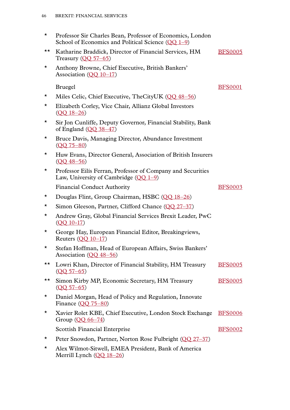| $^\star$ | Professor Sir Charles Bean, Professor of Economics, London<br>School of Economics and Political Science $(OO 1-9)$ |                |
|----------|--------------------------------------------------------------------------------------------------------------------|----------------|
| ★★       | Katharine Braddick, Director of Financial Services, HM<br>Treasury $(QQ 57-65)$                                    | <b>BFS0005</b> |
| $\star$  | Anthony Browne, Chief Executive, British Bankers'<br>Association $(QQ_10-17)$                                      |                |
|          | <b>Bruegel</b>                                                                                                     | <b>BFS0001</b> |
| ★        | Miles Celic, Chief Executive, TheCityUK (QQ 48–56)                                                                 |                |
| $\star$  | Elizabeth Corley, Vice Chair, Allianz Global Investors<br>$(QQ_18-26)$                                             |                |
| ★        | Sir Jon Cunliffe, Deputy Governor, Financial Stability, Bank<br>of England $(QQ 38-47)$                            |                |
| $\star$  | Bruce Davis, Managing Director, Abundance Investment<br>$(QQ 75 - 80)$                                             |                |
| *        | Huw Evans, Director General, Association of British Insurers<br>$(OO 48 - 56)$                                     |                |
| $\star$  | Professor Eilis Ferran, Professor of Company and Securities<br>Law, University of Cambridge $(OO 1-9)$             |                |
|          | <b>Financial Conduct Authority</b>                                                                                 | <b>BFS0003</b> |
| $\star$  | Douglas Flint, Group Chairman, HSBC (QQ 18-26)                                                                     |                |
| *        | Simon Gleeson, Partner, Clifford Chance (QQ 27-37)                                                                 |                |
| $\star$  | Andrew Gray, Global Financial Services Brexit Leader, PwC<br>$(OQ 10-17)$                                          |                |
| $\star$  | George Hay, European Financial Editor, Breakingviews,<br>Reuters $(OO 10-17)$                                      |                |
|          | Stefan Hoffman, Head of European Affairs, Swiss Bankers'<br>Association $(OQ 48-56)$                               |                |
| ★★       | Lowri Khan, Director of Financial Stability, HM Treasury<br>$(OQ 57 - 65)$                                         | <b>BFS0005</b> |
| ★★       | Simon Kirby MP, Economic Secretary, HM Treasury<br>$(QQ 57 - 65)$                                                  | <b>BFS0005</b> |
| *        | Daniel Morgan, Head of Policy and Regulation, Innovate<br>Finance $(0075-80)$                                      |                |
| *        | Xavier Rolet KBE, Chief Executive, London Stock Exchange<br>Group $(OQ 66 - 74)$                                   | <b>BFS0006</b> |
|          | <b>Scottish Financial Enterprise</b>                                                                               | <b>BFS0002</b> |
| *        | Peter Snowdon, Partner, Norton Rose Fulbright (QQ 27–37)                                                           |                |
| *        | Alex Wilmot-Sitwell, EMEA President, Bank of America<br>Merrill Lynch (QQ 18-26)                                   |                |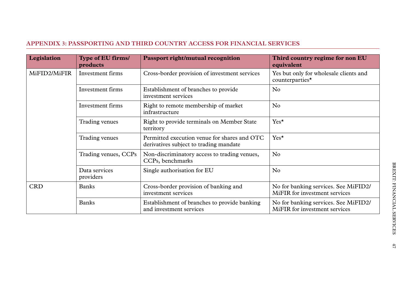#### <span id="page-48-0"></span>**Appendix 3: PASSPORTING AND THIRD COUNTRY ACCESS FOR FINANCIAL SERVICES**

| Legislation      | Type of EU firms/<br>products | <b>Passport right/mutual recognition</b>                                               | Third country regime for non EU<br>equivalent                         |
|------------------|-------------------------------|----------------------------------------------------------------------------------------|-----------------------------------------------------------------------|
| MiFID2/MiFIR     | Investment firms              | Cross-border provision of investment services                                          | Yes but only for wholesale clients and<br>counterparties*             |
| Investment firms |                               | Establishment of branches to provide<br>investment services                            | No                                                                    |
|                  | Investment firms              | Right to remote membership of market<br>infrastructure                                 | No                                                                    |
|                  | Trading venues                | Right to provide terminals on Member State<br>territory                                | Yes*                                                                  |
|                  | Trading venues                | Permitted execution venue for shares and OTC<br>derivatives subject to trading mandate | $Yes^{\star}$                                                         |
|                  | Trading venues, CCPs          | Non-discriminatory access to trading venues,<br>CCPs, benchmarks                       | No                                                                    |
|                  | Data services<br>providers    | Single authorisation for EU                                                            | No                                                                    |
| <b>CRD</b>       | <b>Banks</b>                  | Cross-border provision of banking and<br>investment services                           | No for banking services. See MiFID2/<br>MiFIR for investment services |
|                  | <b>Banks</b>                  | Establishment of branches to provide banking<br>and investment services                | No for banking services. See MiFID2/<br>MiFIR for investment services |

47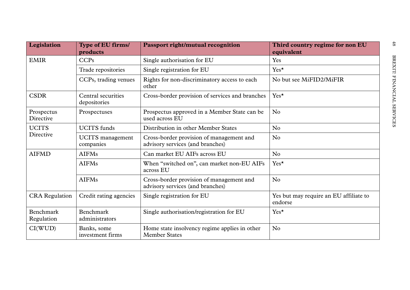| Legislation               | Type of EU firms/<br>products        | <b>Passport right/mutual recognition</b>                                     | Third country regime for non EU<br>equivalent     |
|---------------------------|--------------------------------------|------------------------------------------------------------------------------|---------------------------------------------------|
| <b>EMIR</b>               | CCPs                                 | Single authorisation for EU                                                  | Yes                                               |
|                           | Trade repositories                   | Single registration for EU                                                   | Yes*                                              |
|                           | CCPs, trading venues                 | Rights for non-discriminatory access to each<br>other                        | No but see MiFID2/MiFIR                           |
| <b>CSDR</b>               | Central securities<br>depositories   | Cross-border provision of services and branches                              | $Yes^{\star}$                                     |
| Prospectus<br>Directive   | Prospectuses                         | Prospectus approved in a Member State can be<br>used across EU               | No                                                |
| <b>UCITS</b><br>Directive | <b>UCITS</b> funds                   | Distribution in other Member States                                          | No                                                |
|                           | <b>UCITS</b> management<br>companies | Cross-border provision of management and<br>advisory services (and branches) | No                                                |
| <b>AIFMD</b>              | <b>AIFMs</b>                         | Can market EU AIFs across EU                                                 | No                                                |
|                           | <b>AIFMs</b>                         | When "switched on", can market non-EU AIFs<br>across EU                      | Yes*                                              |
|                           | <b>AIFMs</b>                         | Cross-border provision of management and<br>advisory services (and branches) | No                                                |
| <b>CRA</b> Regulation     | Credit rating agencies               | Single registration for EU                                                   | Yes but may require an EU affiliate to<br>endorse |
| Benchmark<br>Regulation   | Benchmark<br>administrators          | Single authorisation/registration for EU                                     | Yes*                                              |
| CI(WUD)                   | Banks, some<br>investment firms      | Home state insolvency regime applies in other<br><b>Member States</b>        | No                                                |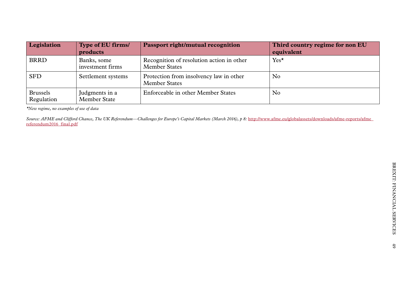| Legislation                   | Type of EU firms/                     | <b>Passport right/mutual recognition</b>                          | Third country regime for non EU |
|-------------------------------|---------------------------------------|-------------------------------------------------------------------|---------------------------------|
|                               | products                              |                                                                   | equivalent                      |
| <b>BRRD</b>                   | Banks, some<br>investment firms       | Recognition of resolution action in other<br><b>Member States</b> | $Yes^{\star}$                   |
| <b>SFD</b>                    | Settlement systems                    | Protection from insolvency law in other<br><b>Member States</b>   | No                              |
| <b>Brussels</b><br>Regulation | Judgments in a<br><b>Member State</b> | Enforceable in other Member States                                | No                              |

*\*New regime, no examples of use of data*

Source: AFME and Clifford Chance, The UK Referendum—Challenges for Europe's Capital Markets (March 2016), p 8: [http://www.afme.eu/globalassets/downloads/afme-reports/afme\\_](http://www.afme.eu/globalassets/downloads/afme-reports/afme_referendum2016_final.pdf) [referendum2016\\_final.pdf](http://www.afme.eu/globalassets/downloads/afme-reports/afme_referendum2016_final.pdf)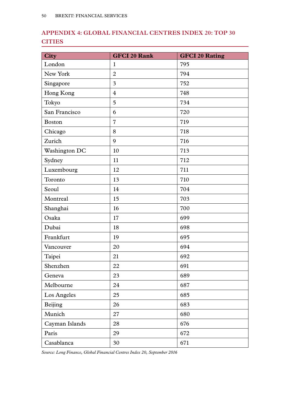### <span id="page-51-0"></span>**Appendix 4: GLOBAL FINANCIAL CENTRES INDEX 20: TOP 30 CITIES**

| <b>City</b>    | <b>GFCI 20 Rank</b> | <b>GFCI 20 Rating</b> |
|----------------|---------------------|-----------------------|
| London         | $\mathbf{1}$        | 795                   |
| New York       | $\overline{2}$      | 794                   |
| Singapore      | 3                   | 752                   |
| Hong Kong      | $\overline{4}$      | 748                   |
| Tokyo          | 5                   | 734                   |
| San Francisco  | 6                   | 720                   |
| <b>Boston</b>  | $\overline{7}$      | 719                   |
| Chicago        | 8                   | 718                   |
| Zurich         | 9                   | 716                   |
| Washington DC  | 10                  | 713                   |
| Sydney         | 11                  | 712                   |
| Luxembourg     | 12                  | 711                   |
| Toronto        | 13                  | 710                   |
| Seoul          | 14                  | 704                   |
| Montreal       | 15                  | 703                   |
| Shanghai       | 16                  | 700                   |
| Osaka          | 17                  | 699                   |
| Dubai          | 18                  | 698                   |
| Frankfurt      | 19                  | 695                   |
| Vancouver      | 20                  | 694                   |
| Taipei         | 21                  | 692                   |
| Shenzhen       | 22                  | 691                   |
| Geneva         | 23                  | 689                   |
| Melbourne      | 24                  | 687                   |
| Los Angeles    | 25                  | 685                   |
| Beijing        | 26                  | 683                   |
| Munich         | 27                  | 680                   |
| Cayman Islands | 28                  | 676                   |
| Paris          | 29                  | 672                   |
| Casablanca     | 30                  | 671                   |

*Source: Long Finance, Global Financial Centres Index 20, September 2016*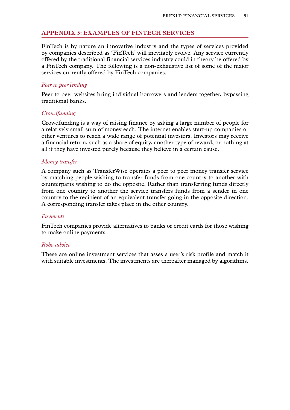#### <span id="page-52-0"></span>**Appendix 5: EXAMPLES OF FINTECH SERVICES**

FinTech is by nature an innovative industry and the types of services provided by companies described as 'FinTech' will inevitably evolve. Any service currently offered by the traditional financial services industry could in theory be offered by a FinTech company. The following is a non-exhaustive list of some of the major services currently offered by FinTech companies.

#### *Peer to peer lending*

Peer to peer websites bring individual borrowers and lenders together, bypassing traditional banks.

#### *Crowdfunding*

Crowdfunding is a way of raising finance by asking a large number of people for a relatively small sum of money each. The internet enables start-up companies or other ventures to reach a wide range of potential investors. Investors may receive a financial return, such as a share of equity, another type of reward, or nothing at all if they have invested purely because they believe in a certain cause.

#### *Money transfer*

A company such as TransferWise operates a peer to peer money transfer service by matching people wishing to transfer funds from one country to another with counterparts wishing to do the opposite. Rather than transferring funds directly from one country to another the service transfers funds from a sender in one country to the recipient of an equivalent transfer going in the opposite direction. A corresponding transfer takes place in the other country.

#### *Payments*

FinTech companies provide alternatives to banks or credit cards for those wishing to make online payments.

#### *Robo advice*

These are online investment services that asses a user's risk profile and match it with suitable investments. The investments are thereafter managed by algorithms.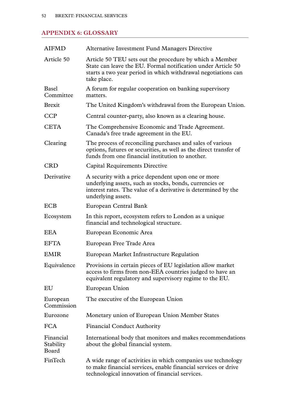#### <span id="page-53-0"></span>**Appendix 6: GLOSSARY**

| <b>AIFMD</b>                    | <b>Alternative Investment Fund Managers Directive</b>                                                                                                                                                   |
|---------------------------------|---------------------------------------------------------------------------------------------------------------------------------------------------------------------------------------------------------|
| Article 50                      | Article 50 TEU sets out the procedure by which a Member<br>State can leave the EU. Formal notification under Article 50<br>starts a two year period in which withdrawal negotiations can<br>take place. |
| <b>Basel</b><br>Committee       | A forum for regular cooperation on banking supervisory<br>matters.                                                                                                                                      |
| <b>Brexit</b>                   | The United Kingdom's withdrawal from the European Union.                                                                                                                                                |
| <b>CCP</b>                      | Central counter-party, also known as a clearing house.                                                                                                                                                  |
| <b>CETA</b>                     | The Comprehensive Economic and Trade Agreement.<br>Canada's free trade agreement in the EU.                                                                                                             |
| Clearing                        | The process of reconciling purchases and sales of various<br>options, futures or securities, as well as the direct transfer of<br>funds from one financial institution to another.                      |
| <b>CRD</b>                      | Capital Requirements Directive                                                                                                                                                                          |
| Derivative                      | A security with a price dependent upon one or more<br>underlying assets, such as stocks, bonds, currencies or<br>interest rates. The value of a derivative is determined by the<br>underlying assets.   |
| <b>ECB</b>                      | European Central Bank                                                                                                                                                                                   |
| Ecosystem                       | In this report, ecosystem refers to London as a unique<br>financial and technological structure.                                                                                                        |
| EEA                             | European Economic Area                                                                                                                                                                                  |
| <b>EFTA</b>                     | European Free Trade Area                                                                                                                                                                                |
| <b>EMIR</b>                     | European Market Infrastructure Regulation                                                                                                                                                               |
| Equivalence                     | Provisions in certain pieces of EU legislation allow market<br>access to firms from non-EEA countries judged to have an<br>equivalent regulatory and supervisory regime to the EU.                      |
| EU                              | European Union                                                                                                                                                                                          |
| European<br>Commission          | The executive of the European Union                                                                                                                                                                     |
| Eurozone                        | Monetary union of European Union Member States                                                                                                                                                          |
| <b>FCA</b>                      | <b>Financial Conduct Authority</b>                                                                                                                                                                      |
| Financial<br>Stability<br>Board | International body that monitors and makes recommendations<br>about the global financial system.                                                                                                        |
| FinTech                         | A wide range of activities in which companies use technology<br>to make financial services, enable financial services or drive<br>technological innovation of financial services.                       |